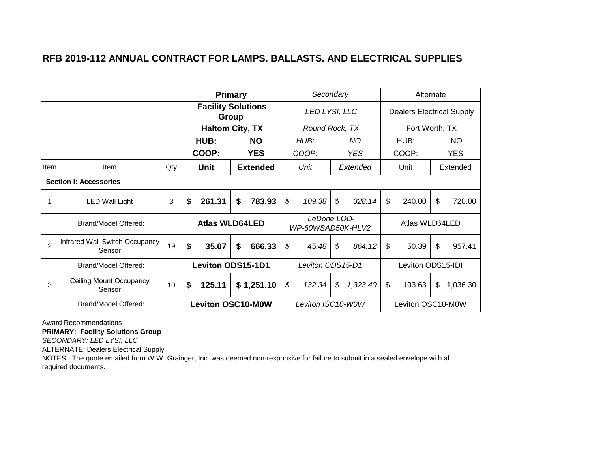|                |                                          |     | <b>Primary</b>            |       |                 | Secondary                        |                | Alternate                        |                |
|----------------|------------------------------------------|-----|---------------------------|-------|-----------------|----------------------------------|----------------|----------------------------------|----------------|
|                |                                          |     | <b>Facility Solutions</b> | Group |                 | LED LYSI, LLC                    |                | <b>Dealers Electrical Supply</b> |                |
|                |                                          |     | <b>Haltom City, TX</b>    |       |                 | Round Rock, TX                   |                | Fort Worth, TX                   |                |
|                |                                          |     | HUB:                      |       | <b>NO</b>       | HUB:                             | NO.            | HUB:                             | NO             |
|                |                                          |     | COOP:                     |       | <b>YES</b>      | COOP:                            | <b>YES</b>     | COOP:                            | <b>YES</b>     |
| Item           | <b>Item</b>                              | Qty | <b>Unit</b>               |       | <b>Extended</b> | Unit                             | Extended       | Unit                             | Extended       |
|                | <b>Section I: Accessories</b>            |     |                           |       |                 |                                  |                |                                  |                |
|                | <b>LED Wall Light</b>                    | 3   | \$<br>261.31              | \$    | 783.93          | \$<br>109.38                     | \$<br>328.14   | \$<br>240.00                     | \$<br>720.00   |
|                | Brand/Model Offered:                     |     | <b>Atlas WLD64LED</b>     |       |                 | LeDone LOD-<br>WP-60WSAD50K-HLV2 |                | Atlas WLD64LED                   |                |
| $\overline{2}$ | Infrared Wall Switch Occupancy<br>Sensor | 19  | \$<br>35.07               | \$    | 666.33          | \$<br>45.48                      | \$<br>864.12   | \$<br>50.39                      | \$<br>957.41   |
|                | Brand/Model Offered:                     |     | <b>Leviton ODS15-1D1</b>  |       |                 | Leviton ODS15-D1                 |                | Leviton ODS15-IDI                |                |
| 3              | <b>Ceiling Mount Occupancy</b><br>Sensor | 10  | \$<br>125.11              |       | \$1,251.10      | \$<br>132.34                     | \$<br>1,323.40 | \$<br>103.63                     | \$<br>1,036.30 |
|                | Brand/Model Offered:                     |     | <b>Leviton OSC10-M0W</b>  |       |                 | Leviton ISC10-W0W                |                | Leviton OSC10-M0W                |                |

Award Recommendations

**PRIMARY: Facility Solutions Group**

*SECONDARY: LED LYSI, LLC*

ALTERNATE: Dealers Electrical Supply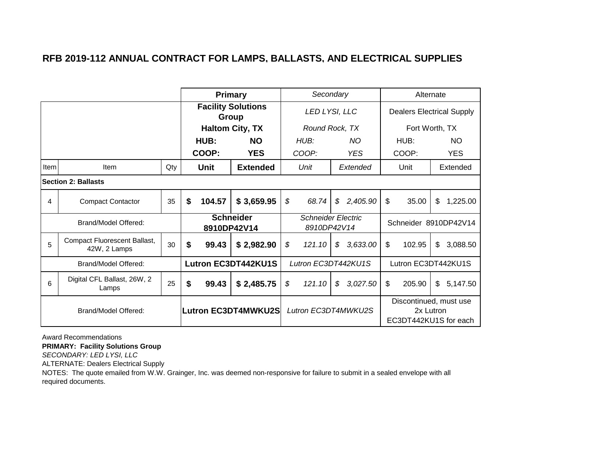|      |                                                     |     |    | <b>Primary</b> |                            |                            | Secondary                                |                |              | Alternate                                                    |
|------|-----------------------------------------------------|-----|----|----------------|----------------------------|----------------------------|------------------------------------------|----------------|--------------|--------------------------------------------------------------|
|      |                                                     |     |    | Group          | <b>Facility Solutions</b>  |                            | LED LYSI, LLC                            |                |              | <b>Dealers Electrical Supply</b>                             |
|      |                                                     |     |    |                | <b>Haltom City, TX</b>     |                            | Round Rock, TX                           |                |              | Fort Worth, TX                                               |
|      |                                                     |     |    | HUB:           | <b>NO</b>                  |                            | HUB:                                     | <b>NO</b>      | HUB:         | <b>NO</b>                                                    |
|      |                                                     |     |    | COOP:          | <b>YES</b>                 |                            | COOP:                                    | <b>YES</b>     | COOP:        | <b>YES</b>                                                   |
| Item | <b>Item</b>                                         | Qty |    | <b>Unit</b>    | <b>Extended</b>            |                            | Unit                                     | Extended       | Unit         | Extended                                                     |
|      | <b>Section 2: Ballasts</b>                          |     |    |                |                            |                            |                                          |                |              |                                                              |
| 4    | 35<br><b>Compact Contactor</b>                      |     |    | 104.57         | \$3,659.95                 | \$                         | 68.74                                    | \$<br>2,405.90 | \$<br>35.00  | \$<br>1,225.00                                               |
|      | Brand/Model Offered:                                |     |    | 8910DP42V14    | <b>Schneider</b>           |                            | <b>Schneider Electric</b><br>8910DP42V14 |                |              | Schneider 8910DP42V14                                        |
| 5    | <b>Compact Fluorescent Ballast,</b><br>42W, 2 Lamps | 30  | \$ | 99.43          | \$2,982.90                 | $\boldsymbol{\mathcal{S}}$ | 121.10                                   | \$<br>3,633.00 | \$<br>102.95 | \$<br>3,088.50                                               |
|      | Brand/Model Offered:                                |     |    |                | Lutron EC3DT442KU1S        |                            | Lutron EC3DT442KU1S                      |                |              | Lutron EC3DT442KU1S                                          |
| 6    | Digital CFL Ballast, 26W, 2<br>Lamps                | 25  | \$ | 99.43          | \$2,485.75                 | \$                         | 121.10                                   | \$<br>3,027.50 | \$<br>205.90 | $\mathfrak{S}$<br>5,147.50                                   |
|      | Brand/Model Offered:                                |     |    |                | <b>Lutron EC3DT4MWKU2S</b> |                            | Lutron EC3DT4MWKU2S                      |                |              | Discontinued, must use<br>2x Lutron<br>EC3DT442KU1S for each |

Award Recommendations

**PRIMARY: Facility Solutions Group**

*SECONDARY: LED LYSI, LLC*

ALTERNATE: Dealers Electrical Supply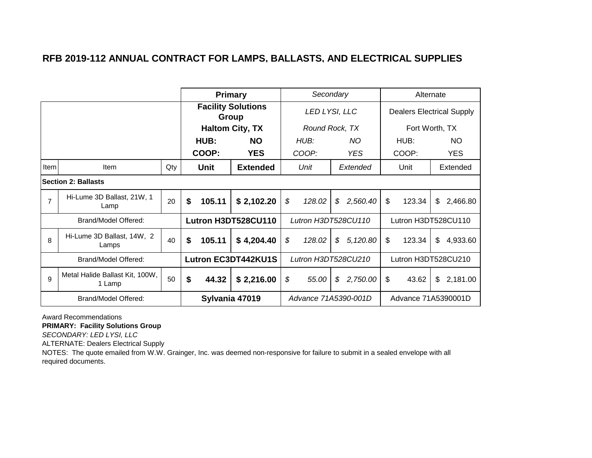|                |                                           |     |              | <b>Primary</b>                     |              | Secondary                 |                         | Alternate                        |
|----------------|-------------------------------------------|-----|--------------|------------------------------------|--------------|---------------------------|-------------------------|----------------------------------|
|                |                                           |     |              | <b>Facility Solutions</b><br>Group |              | LED LYSI, LLC             |                         | <b>Dealers Electrical Supply</b> |
|                |                                           |     |              | <b>Haltom City, TX</b>             |              | Round Rock, TX            |                         | Fort Worth, TX                   |
|                |                                           |     | HUB:         | <b>NO</b>                          | HUB:         | NO.                       | HUB:                    | NO                               |
|                |                                           |     | COOP:        | <b>YES</b>                         | COOP:        | <b>YES</b>                | COOP:                   | <b>YES</b>                       |
| Item           | Item                                      | Qty | <b>Unit</b>  | <b>Extended</b>                    | Unit         | Extended                  | Unit                    | Extended                         |
|                | <b>Section 2: Ballasts</b>                |     |              |                                    |              |                           |                         |                                  |
| $\overline{7}$ | Hi-Lume 3D Ballast, 21W, 1<br>Lamp        | 20  | \$<br>105.11 | \$2,102.20                         | \$<br>128.02 | \$<br>2,560.40            | \$<br>123.34            | \$<br>2,466.80                   |
|                | Brand/Model Offered:                      |     |              | Lutron H3DT528CU110                |              | Lutron H3DT528CU110       |                         | Lutron H3DT528CU110              |
| 8              | Hi-Lume 3D Ballast, 14W, 2<br>Lamps       | 40  | \$<br>105.11 | \$4,204.40                         | \$<br>128.02 | $\mathfrak s$<br>5,120.80 | \$<br>123.34            | \$<br>4,933.60                   |
|                | Brand/Model Offered:                      |     |              | Lutron EC3DT442KU1S                |              | Lutron H3DT528CU210       |                         | Lutron H3DT528CU210              |
| 9              | Metal Halide Ballast Kit, 100W,<br>1 Lamp | 50  | \$<br>44.32  | \$2,216.00                         | \$<br>55.00  | \$<br>2,750.00            | $\mathfrak{S}$<br>43.62 | \$2,181.00                       |
|                | Brand/Model Offered:                      |     |              | Sylvania 47019                     |              | Advance 71A5390-001D      |                         | Advance 71A5390001D              |

Award Recommendations

**PRIMARY: Facility Solutions Group**

*SECONDARY: LED LYSI, LLC*

ALTERNATE: Dealers Electrical Supply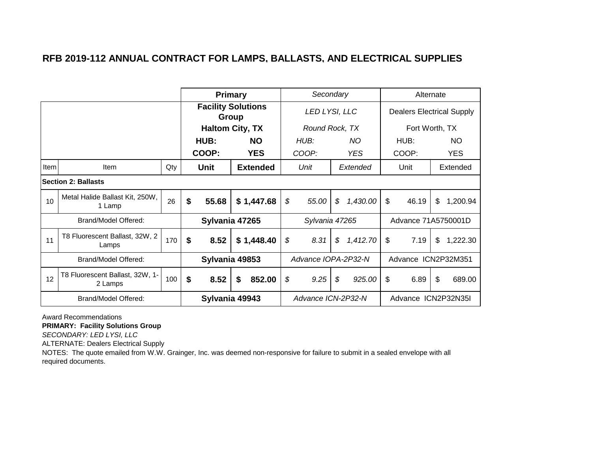|      |                                            |     |    | <b>Primary</b>                     |                 | Secondary           |               |            | Alternate           |                                  |
|------|--------------------------------------------|-----|----|------------------------------------|-----------------|---------------------|---------------|------------|---------------------|----------------------------------|
|      |                                            |     |    | <b>Facility Solutions</b><br>Group |                 | LED LYSI, LLC       |               |            |                     | <b>Dealers Electrical Supply</b> |
|      |                                            |     |    | <b>Haltom City, TX</b>             |                 | Round Rock, TX      |               |            | Fort Worth, TX      |                                  |
|      |                                            |     |    | HUB:                               | <b>NO</b>       | HUB:                |               | NO.        | HUB:                | NO                               |
|      |                                            |     |    | COOP:                              | <b>YES</b>      | COOP:               |               | <b>YES</b> | COOP:               | <b>YES</b>                       |
| Item | Qty<br>Item<br><b>Section 2: Ballasts</b>  |     |    | Unit                               | <b>Extended</b> | Unit                |               | Extended   | Unit                | Extended                         |
|      |                                            |     |    |                                    |                 |                     |               |            |                     |                                  |
| 10   | Metal Halide Ballast Kit, 250W,<br>1 Lamp  | 26  | \$ | 55.68                              | \$1,447.68      | \$<br>55.00         | \$            | 1,430.00   | \$<br>46.19         | \$<br>1,200.94                   |
|      | Brand/Model Offered:                       |     |    | Sylvania 47265                     |                 | Sylvania 47265      |               |            | Advance 71A5750001D |                                  |
| 11   | T8 Fluorescent Ballast, 32W, 2<br>Lamps    | 170 | \$ | 8.52                               | \$1,448.40      | \$<br>8.31          | \$            | 1,412.70   | \$<br>7.19          | \$<br>1,222.30                   |
|      | Brand/Model Offered:                       |     |    | Sylvania 49853                     |                 | Advance IOPA-2P32-N |               |            | Advance ICN2P32M351 |                                  |
| 12   | T8 Fluorescent Ballast, 32W, 1-<br>2 Lamps | 100 | \$ | 8.52                               | \$<br>852.00    | \$<br>9.25          | $\mathcal{L}$ | 925.00     | \$<br>6.89          | \$<br>689.00                     |
|      | Brand/Model Offered:                       |     |    | Sylvania 49943                     |                 | Advance ICN-2P32-N  |               |            | Advance             | <b>ICN2P32N35I</b>               |

Award Recommendations

**PRIMARY: Facility Solutions Group**

*SECONDARY: LED LYSI, LLC*

ALTERNATE: Dealers Electrical Supply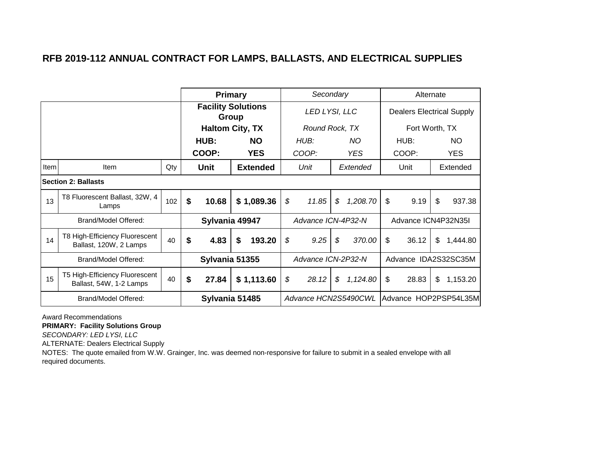|      |                                                           |     |                | <b>Primary</b>                     | Secondary            |                | Alternate           |                                  |
|------|-----------------------------------------------------------|-----|----------------|------------------------------------|----------------------|----------------|---------------------|----------------------------------|
|      |                                                           |     |                | <b>Facility Solutions</b><br>Group | LED LYSI, LLC        |                |                     | <b>Dealers Electrical Supply</b> |
|      |                                                           |     |                | <b>Haltom City, TX</b>             | Round Rock, TX       |                | Fort Worth, TX      |                                  |
|      |                                                           |     | HUB:           | <b>NO</b>                          | HUB:                 | NO.            | HUB:                | NO                               |
|      |                                                           |     | COOP:          | <b>YES</b>                         | COOP:                | <b>YES</b>     | COOP:               | <b>YES</b>                       |
| Item | Item                                                      | Qty | Unit           | <b>Extended</b>                    | Unit                 | Extended       | Unit                | Extended                         |
|      | <b>Section 2: Ballasts</b>                                |     |                |                                    |                      |                |                     |                                  |
| 13   | T8 Fluorescent Ballast, 32W, 4<br>Lamps                   | 102 | \$<br>10.68    | \$1,089.36                         | \$<br>11.85          | \$<br>1,208.70 | \$<br>9.19          | \$<br>937.38                     |
|      | Brand/Model Offered:                                      |     | Sylvania 49947 |                                    | Advance ICN-4P32-N   |                | Advance ICN4P32N35I |                                  |
| 14   | T8 High-Efficiency Fluorescent<br>Ballast, 120W, 2 Lamps  | 40  | \$<br>4.83     | \$<br>193.20                       | \$<br>9.25           | \$<br>370.00   | \$<br>36.12         | \$<br>1,444.80                   |
|      | Brand/Model Offered:                                      |     | Sylvania 51355 |                                    | Advance ICN-2P32-N   |                | Advance             | IDA2S32SC35M                     |
| 15   | T5 High-Efficiency Fluorescent<br>Ballast, 54W, 1-2 Lamps | 40  | \$<br>27.84    | \$1,113.60                         | \$<br>28.12          | \$<br>1,124.80 | \$<br>28.83         | \$<br>1,153.20                   |
|      | Brand/Model Offered:                                      |     | Sylvania 51485 |                                    | Advance HCN2S5490CWL |                |                     | Advance HOP2PSP54L35M            |

Award Recommendations

**PRIMARY: Facility Solutions Group**

*SECONDARY: LED LYSI, LLC*

ALTERNATE: Dealers Electrical Supply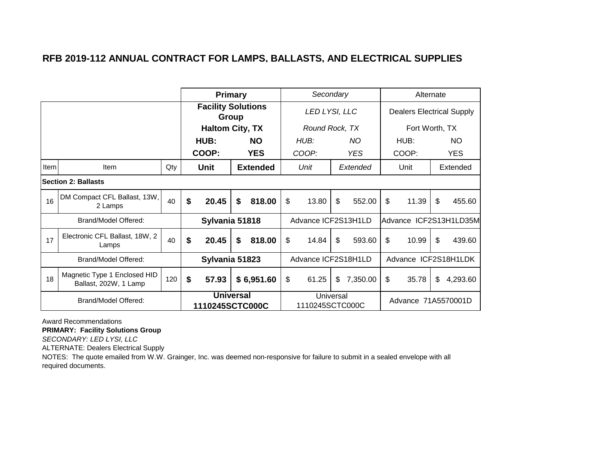|      |                                                       |     | <b>Primary</b>                      |                 | Secondary                    |                | Alternate                        |                        |
|------|-------------------------------------------------------|-----|-------------------------------------|-----------------|------------------------------|----------------|----------------------------------|------------------------|
|      |                                                       |     | <b>Facility Solutions</b><br>Group  |                 | LED LYSI, LLC                |                | <b>Dealers Electrical Supply</b> |                        |
|      |                                                       |     | <b>Haltom City, TX</b>              |                 | Round Rock, TX               |                | Fort Worth, TX                   |                        |
|      |                                                       |     | HUB:                                | <b>NO</b>       | HUB:                         | NO.            | HUB:                             | NO                     |
|      |                                                       |     | COOP:                               | <b>YES</b>      | COOP:                        | <b>YES</b>     | COOP:                            | <b>YES</b>             |
| Item | Item                                                  | Qty | <b>Unit</b>                         | <b>Extended</b> | Unit                         | Extended       | Unit                             | Extended               |
|      | <b>Section 2: Ballasts</b>                            |     |                                     |                 |                              |                |                                  |                        |
| 16   | DM Compact CFL Ballast, 13W,<br>2 Lamps               | 40  | \$<br>20.45                         | \$<br>818.00    | \$<br>13.80                  | \$<br>552.00   | \$<br>11.39                      | \$<br>455.60           |
|      | Brand/Model Offered:                                  |     | Sylvania 51818                      |                 | Advance ICF2S13H1LD          |                |                                  | Advance ICF2S13H1LD35M |
| 17   | Electronic CFL Ballast, 18W, 2<br>Lamps               | 40  | \$<br>20.45                         | \$<br>818.00    | \$<br>14.84                  | \$<br>593.60   | \$<br>10.99                      | \$<br>439.60           |
|      | Brand/Model Offered:                                  |     | Sylvania 51823                      |                 | Advance ICF2S18H1LD          |                |                                  | Advance ICF2S18H1LDK   |
| 18   | Magnetic Type 1 Enclosed HID<br>Ballast, 202W, 1 Lamp | 120 | \$<br>57.93                         | \$6,951.60      | \$<br>61.25                  | \$<br>7,350.00 | \$<br>35.78                      | \$<br>4,293.60         |
|      | Brand/Model Offered:                                  |     | <b>Universal</b><br>1110245SCTC000C |                 | Universal<br>1110245SCTC000C |                | Advance 71A5570001D              |                        |

Award Recommendations

**PRIMARY: Facility Solutions Group**

*SECONDARY: LED LYSI, LLC*

ALTERNATE: Dealers Electrical Supply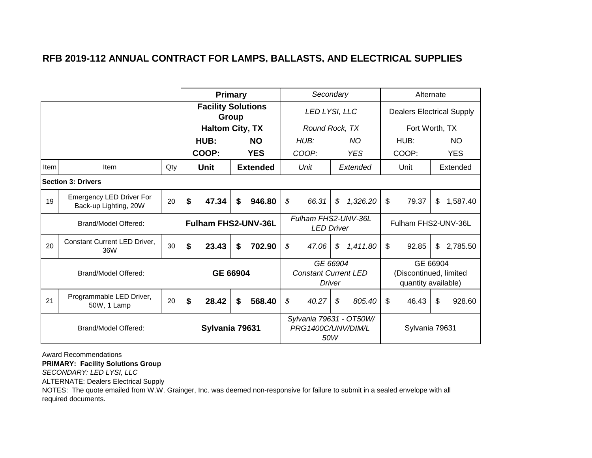|      |                                                          |     | Primary                    |       |                 |                            | Secondary                                     |        |            |                | Alternate                                                 |                |
|------|----------------------------------------------------------|-----|----------------------------|-------|-----------------|----------------------------|-----------------------------------------------|--------|------------|----------------|-----------------------------------------------------------|----------------|
|      |                                                          |     | <b>Facility Solutions</b>  | Group |                 |                            | LED LYSI, LLC                                 |        |            |                | <b>Dealers Electrical Supply</b>                          |                |
|      |                                                          |     | <b>Haltom City, TX</b>     |       |                 |                            | Round Rock, TX                                |        |            |                | Fort Worth, TX                                            |                |
|      |                                                          |     | HUB:                       |       | <b>NO</b>       |                            | HUB:                                          |        | NO.        |                | HUB:                                                      | <b>NO</b>      |
|      |                                                          |     | COOP:                      |       | <b>YES</b>      |                            | COOP:                                         |        | <b>YES</b> |                | COOP:                                                     | <b>YES</b>     |
| Item | Item                                                     | Qty | <b>Unit</b>                |       | <b>Extended</b> |                            | Unit                                          |        | Extended   |                | Unit                                                      | Extended       |
|      | <b>Section 3: Drivers</b>                                |     |                            |       |                 |                            |                                               |        |            |                |                                                           |                |
| 19   | <b>Emergency LED Driver For</b><br>Back-up Lighting, 20W | 20  | \$<br>47.34                | S     | 946.80          | \$                         | 66.31                                         | \$     | 1,326.20   | \$             | 79.37                                                     | \$<br>1,587.40 |
|      | Brand/Model Offered:                                     |     | <b>Fulham FHS2-UNV-36L</b> |       |                 |                            | Fulham FHS2-UNV-36L<br><b>LED Driver</b>      |        |            |                | Fulham FHS2-UNV-36L                                       |                |
| 20   | <b>Constant Current LED Driver.</b><br>36W               | 30  | \$<br>23.43                | \$    | 702.90          | $\boldsymbol{\mathcal{S}}$ | 47.06                                         | \$     | 1,411.80   | $\mathfrak{S}$ | 92.85                                                     | \$<br>2,785.50 |
|      | Brand/Model Offered:                                     |     | GE 66904                   |       |                 |                            | GE 66904<br><b>Constant Current LED</b>       | Driver |            |                | GE 66904<br>(Discontinued, limited<br>quantity available) |                |
| 21   | Programmable LED Driver,<br>50W, 1 Lamp                  | 20  | \$<br>28.42                | \$    | 568.40          | $\boldsymbol{\mathcal{S}}$ | 40.27                                         | \$     | 805.40     | \$             | 46.43                                                     | \$<br>928.60   |
|      | Brand/Model Offered:                                     |     | Sylvania 79631             |       |                 |                            | Sylvania 79631 - OT50W/<br>PRG1400C/UNV/DIM/L | 50W    |            |                | Sylvania 79631                                            |                |

Award Recommendations

**PRIMARY: Facility Solutions Group**

*SECONDARY: LED LYSI, LLC*

ALTERNATE: Dealers Electrical Supply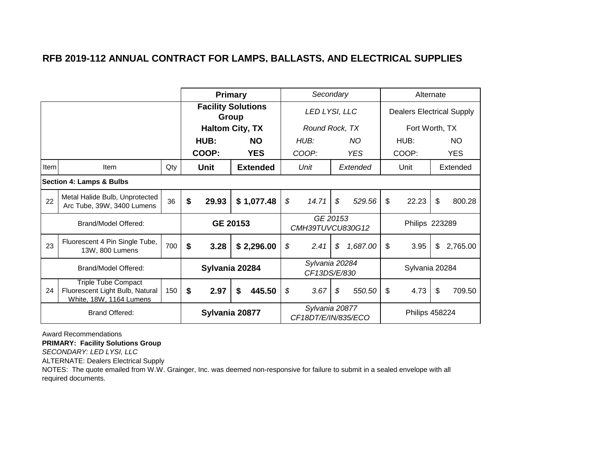|                                                                          |                                                                                          |     | <b>Primary</b> |                           |                            | Secondary                             |                | Alternate                        |                |
|--------------------------------------------------------------------------|------------------------------------------------------------------------------------------|-----|----------------|---------------------------|----------------------------|---------------------------------------|----------------|----------------------------------|----------------|
|                                                                          |                                                                                          |     | Group          | <b>Facility Solutions</b> |                            | LED LYSI, LLC                         |                | <b>Dealers Electrical Supply</b> |                |
|                                                                          |                                                                                          |     |                | <b>Haltom City, TX</b>    |                            | Round Rock, TX                        |                | Fort Worth, TX                   |                |
|                                                                          |                                                                                          |     | HUB:           | <b>NO</b>                 |                            | HUB:                                  | NO.            | HUB:                             | <b>NO</b>      |
|                                                                          |                                                                                          |     | COOP:          | <b>YES</b>                |                            | COOP:                                 | <b>YES</b>     | COOP:                            | <b>YES</b>     |
| Item                                                                     | Item                                                                                     | Qty | Unit           | <b>Extended</b>           |                            | Unit                                  | Extended       | Unit                             | Extended       |
|                                                                          | <b>Section 4: Lamps &amp; Bulbs</b>                                                      |     |                |                           |                            |                                       |                |                                  |                |
| Metal Halide Bulb, Unprotected<br>36<br>22<br>Arc Tube, 39W, 3400 Lumens |                                                                                          |     | \$<br>29.93    | \$1,077.48                | $\boldsymbol{\mathcal{S}}$ | 14.71                                 | \$<br>529.56   | \$<br>22.23                      | \$<br>800.28   |
|                                                                          | Brand/Model Offered:                                                                     |     | GE 20153       |                           |                            | GE 20153<br>CMH39TUVCU830G12          |                | <b>Philips 223289</b>            |                |
| 23                                                                       | Fluorescent 4 Pin Single Tube,<br>13W, 800 Lumens                                        | 700 | \$<br>3.28     | \$2,296.00                | \$                         | 2.41                                  | \$<br>1,687.00 | \$<br>3.95                       | \$<br>2,765.00 |
|                                                                          | Brand/Model Offered:                                                                     |     | Sylvania 20284 |                           |                            | Sylvania 20284<br>CF13DS/E/830        |                | Sylvania 20284                   |                |
| 24                                                                       | <b>Triple Tube Compact</b><br>Fluorescent Light Bulb, Natural<br>White, 18W, 1164 Lumens | 150 | \$<br>2.97     | \$<br>445.50              | \$                         | 3.67                                  | \$<br>550.50   | \$<br>4.73                       | \$<br>709.50   |
|                                                                          | <b>Brand Offered:</b>                                                                    |     | Sylvania 20877 |                           |                            | Sylvania 20877<br>CF18DT/E/IN/835/ECO |                | <b>Philips 458224</b>            |                |

Award Recommendations

**PRIMARY: Facility Solutions Group**

*SECONDARY: LED LYSI, LLC*

ALTERNATE: Dealers Electrical Supply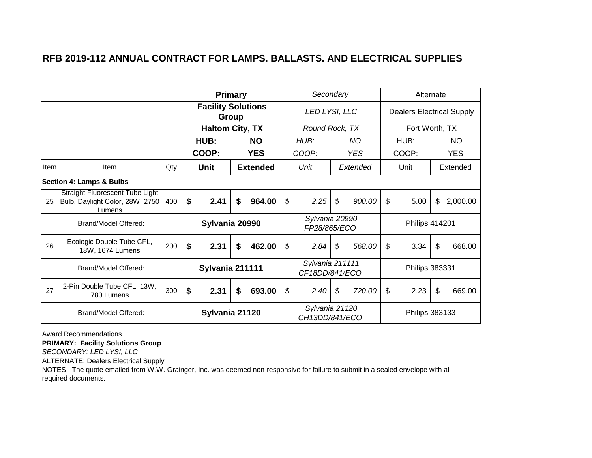|      |                                                                              |     | <b>Primary</b>                     |    |                 | Secondary                         |               |            | Alternate                        |                |
|------|------------------------------------------------------------------------------|-----|------------------------------------|----|-----------------|-----------------------------------|---------------|------------|----------------------------------|----------------|
|      |                                                                              |     | <b>Facility Solutions</b><br>Group |    |                 | LED LYSI, LLC                     |               |            | <b>Dealers Electrical Supply</b> |                |
|      |                                                                              |     | <b>Haltom City, TX</b>             |    |                 | Round Rock, TX                    |               |            | Fort Worth, TX                   |                |
|      |                                                                              |     | HUB:                               |    | <b>NO</b>       | HUB:                              |               | NO.        | HUB:                             | <b>NO</b>      |
|      |                                                                              |     | COOP:                              |    | <b>YES</b>      | COOP:                             |               | <b>YES</b> | COOP:                            | <b>YES</b>     |
| Item | Item                                                                         | Qty | Unit                               |    | <b>Extended</b> | Unit                              |               | Extended   | Unit                             | Extended       |
|      | <b>Section 4: Lamps &amp; Bulbs</b>                                          |     |                                    |    |                 |                                   |               |            |                                  |                |
| 25   | Straight Fluorescent Tube Light<br>Bulb, Daylight Color, 28W, 2750<br>Lumens | 400 | \$<br>2.41                         | \$ | 964.00          | \$<br>2.25                        | $\mathcal{S}$ | 900.00     | \$<br>5.00                       | \$<br>2,000.00 |
|      | Brand/Model Offered:                                                         |     | Sylvania 20990                     |    |                 | Sylvania 20990<br>FP28/865/ECO    |               |            | <b>Philips 414201</b>            |                |
| 26   | Ecologic Double Tube CFL,<br>18W, 1674 Lumens                                | 200 | \$<br>2.31                         | S  | 462.00          | \$<br>2.84                        | \$            | 568.00     | \$<br>3.34                       | \$<br>668.00   |
|      | Brand/Model Offered:                                                         |     | Sylvania 211111                    |    |                 | Sylvania 211111<br>CF18DD/841/ECO |               |            | <b>Philips 383331</b>            |                |
| 27   | 2-Pin Double Tube CFL, 13W,<br>780 Lumens                                    | 300 | \$<br>2.31                         | S  | 693.00          | \$<br>2.40                        | \$            | 720.00     | \$<br>2.23                       | \$<br>669.00   |
|      | Brand/Model Offered:                                                         |     | Sylvania 21120                     |    |                 | Sylvania 21120<br>CH13DD/841/ECO  |               |            | <b>Philips 383133</b>            |                |

Award Recommendations

**PRIMARY: Facility Solutions Group**

*SECONDARY: LED LYSI, LLC*

ALTERNATE: Dealers Electrical Supply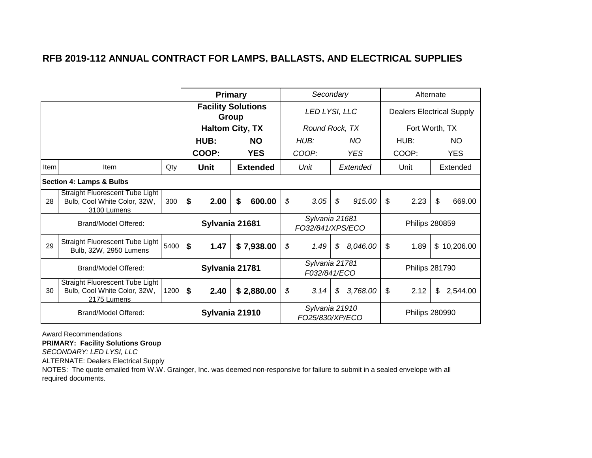|      |                                                                                |      | <b>Primary</b> |                           | Secondary                          |                | Alternate                        |                |            |
|------|--------------------------------------------------------------------------------|------|----------------|---------------------------|------------------------------------|----------------|----------------------------------|----------------|------------|
|      |                                                                                |      | Group          | <b>Facility Solutions</b> | LED LYSI, LLC                      |                | <b>Dealers Electrical Supply</b> |                |            |
|      |                                                                                |      |                | <b>Haltom City, TX</b>    | Round Rock, TX                     |                | Fort Worth, TX                   |                |            |
|      |                                                                                |      | HUB:           | <b>NO</b>                 | HUB:                               | NO.            | HUB:                             |                | <b>NO</b>  |
|      |                                                                                |      | COOP:          | <b>YES</b>                | COOP:                              | <b>YES</b>     | COOP:                            |                | <b>YES</b> |
| Item | Item                                                                           | Qty  | Unit           | <b>Extended</b>           | Unit                               | Extended       | Unit                             |                | Extended   |
|      | <b>Section 4: Lamps &amp; Bulbs</b>                                            |      |                |                           |                                    |                |                                  |                |            |
| 28   | Straight Fluorescent Tube Light<br>Bulb, Cool White Color, 32W,<br>3100 Lumens | 300  | \$<br>2.00     | 600.00<br>\$              | \$<br>3.05                         | \$<br>915.00   | \$<br>2.23                       | \$             | 669.00     |
|      | Brand/Model Offered:                                                           |      | Sylvania 21681 |                           | Sylvania 21681<br>F032/841/XPS/ECO |                | <b>Philips 280859</b>            |                |            |
| 29   | Straight Fluorescent Tube Light<br>Bulb, 32W, 2950 Lumens                      | 5400 | \$<br>1.47     | \$7,938.00                | \$<br>1.49                         | \$<br>8,046.00 | \$<br>1.89                       | $\mathfrak{S}$ | 10,206.00  |
|      | Brand/Model Offered:                                                           |      | Sylvania 21781 |                           | Sylvania 21781<br>F032/841/ECO     |                | <b>Philips 281790</b>            |                |            |
| 30   | Straight Fluorescent Tube Light<br>Bulb, Cool White Color, 32W,<br>2175 Lumens | 1200 | \$<br>2.40     | \$2,880.00                | \$<br>3.14                         | \$<br>3,768.00 | \$<br>2.12                       | \$             | 2,544.00   |
|      | Brand/Model Offered:                                                           |      | Sylvania 21910 |                           | Sylvania 21910<br>F025/830/XP/ECO  |                | <b>Philips 280990</b>            |                |            |

Award Recommendations

**PRIMARY: Facility Solutions Group**

*SECONDARY: LED LYSI, LLC*

ALTERNATE: Dealers Electrical Supply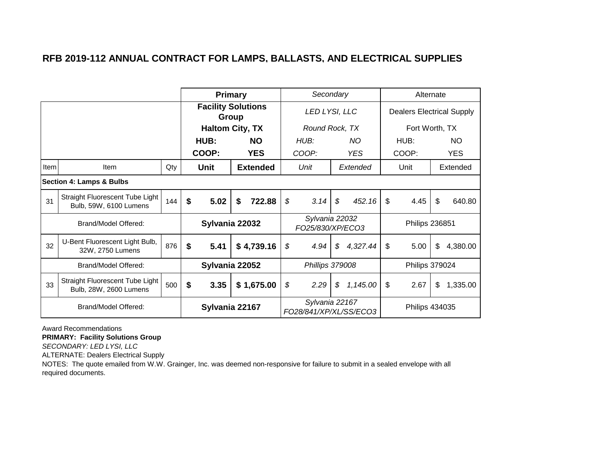|      |                                                           |     |    | Primary                            |   |                 | Secondary                                |               |            | Alternate                        |                |
|------|-----------------------------------------------------------|-----|----|------------------------------------|---|-----------------|------------------------------------------|---------------|------------|----------------------------------|----------------|
|      |                                                           |     |    | <b>Facility Solutions</b><br>Group |   |                 | LED LYSI, LLC                            |               |            | <b>Dealers Electrical Supply</b> |                |
|      |                                                           |     |    | <b>Haltom City, TX</b>             |   |                 | Round Rock, TX                           |               |            | Fort Worth, TX                   |                |
|      |                                                           |     |    | HUB:                               |   | <b>NO</b>       | HUB:                                     |               | NO.        | HUB:                             | NO             |
|      |                                                           |     |    | COOP:                              |   | <b>YES</b>      | COOP:                                    |               | <b>YES</b> | COOP:                            | <b>YES</b>     |
| Item | Item                                                      | Qty |    | <b>Unit</b>                        |   | <b>Extended</b> | Unit                                     |               | Extended   | Unit                             | Extended       |
|      | <b>Section 4: Lamps &amp; Bulbs</b>                       |     |    |                                    |   |                 |                                          |               |            |                                  |                |
| 31   | Straight Fluorescent Tube Light<br>Bulb, 59W, 6100 Lumens | 144 | \$ | 5.02                               | S | 722.88          | \$<br>3.14                               | $\mathcal{L}$ | 452.16     | \$<br>4.45                       | \$<br>640.80   |
|      | Brand/Model Offered:                                      |     |    | Sylvania 22032                     |   |                 | Sylvania 22032<br>F025/830/XP/ECO3       |               |            | <b>Philips 236851</b>            |                |
| 32   | U-Bent Fluorescent Light Bulb,<br>32W, 2750 Lumens        | 876 | \$ | 5.41                               |   | \$4,739.16      | \$<br>4.94                               | \$            | 4,327.44   | \$<br>5.00                       | \$<br>4,380.00 |
|      | Brand/Model Offered:                                      |     |    | Sylvania 22052                     |   |                 | Phillips 379008                          |               |            | <b>Philips 379024</b>            |                |
| 33   | Straight Fluorescent Tube Light<br>Bulb, 28W, 2600 Lumens | 500 | \$ | 3.35                               |   | \$1,675.00      | \$<br>2.29                               | \$            | 1,145.00   | \$<br>2.67                       | \$<br>1,335.00 |
|      | Brand/Model Offered:                                      |     |    | Sylvania 22167                     |   |                 | Sylvania 22167<br>F028/841/XP/XL/SS/EC03 |               |            | Philips 434035                   |                |

Award Recommendations

**PRIMARY: Facility Solutions Group**

*SECONDARY: LED LYSI, LLC*

ALTERNATE: Dealers Electrical Supply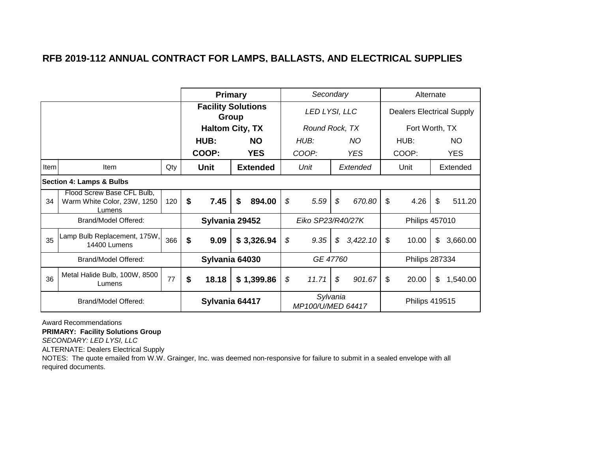|      |                                                                     |     | Primary                            |                 | Secondary                     |                | Alternate                        |                |
|------|---------------------------------------------------------------------|-----|------------------------------------|-----------------|-------------------------------|----------------|----------------------------------|----------------|
|      |                                                                     |     | <b>Facility Solutions</b><br>Group |                 | LED LYSI, LLC                 |                | <b>Dealers Electrical Supply</b> |                |
|      |                                                                     |     | <b>Haltom City, TX</b>             |                 | Round Rock, TX                |                | Fort Worth, TX                   |                |
|      |                                                                     |     | HUB:                               | <b>NO</b>       | HUB:                          | NO.            | HUB:                             | NO             |
|      |                                                                     |     | COOP:                              | <b>YES</b>      | COOP:                         | <b>YES</b>     | COOP:                            | <b>YES</b>     |
| Item | Item                                                                | Qty | <b>Unit</b>                        | <b>Extended</b> | Unit                          | Extended       | Unit                             | Extended       |
|      | <b>Section 4: Lamps &amp; Bulbs</b>                                 |     |                                    |                 |                               |                |                                  |                |
| 34   | Flood Screw Base CFL Bulb,<br>Warm White Color, 23W, 1250<br>Lumens | 120 | \$<br>7.45                         | \$<br>894.00    | \$<br>5.59                    | \$<br>670.80   | \$<br>4.26                       | \$<br>511.20   |
|      | Brand/Model Offered:                                                |     | Sylvania 29452                     |                 | Eiko SP23/R40/27K             |                | <b>Philips 457010</b>            |                |
| 35   | Lamp Bulb Replacement, 175W,<br>14400 Lumens                        | 366 | \$<br>9.09                         | \$3,326.94      | \$<br>9.35                    | \$<br>3,422.10 | \$<br>10.00                      | \$<br>3,660.00 |
|      | Brand/Model Offered:                                                |     | Sylvania 64030                     |                 | GE 47760                      |                | <b>Philips 287334</b>            |                |
| 36   | Metal Halide Bulb, 100W, 8500<br>Lumens                             | 77  | \$<br>18.18                        | \$1,399.86      | \$<br>11.71                   | \$<br>901.67   | \$<br>20.00                      | \$<br>1,540.00 |
|      | Brand/Model Offered:                                                |     | Sylvania 64417                     |                 | Sylvania<br>MP100/U/MED 64417 |                | <b>Philips 419515</b>            |                |

Award Recommendations

**PRIMARY: Facility Solutions Group**

*SECONDARY: LED LYSI, LLC*

ALTERNATE: Dealers Electrical Supply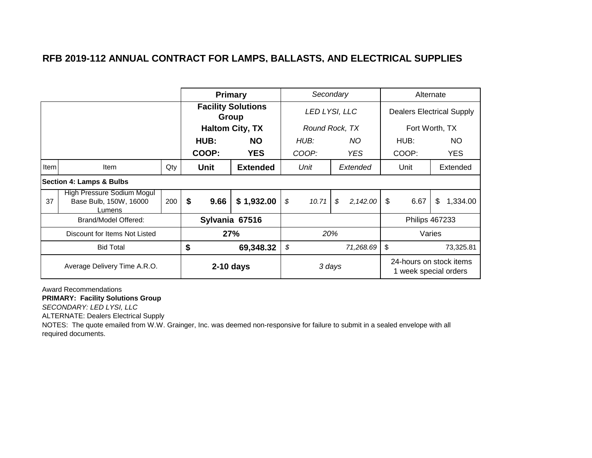|      |                                                                |     |             | Primary                            |             | Secondary      |            | Alternate                                        |
|------|----------------------------------------------------------------|-----|-------------|------------------------------------|-------------|----------------|------------|--------------------------------------------------|
|      |                                                                |     |             | <b>Facility Solutions</b><br>Group |             | LED LYSI, LLC  |            | <b>Dealers Electrical Supply</b>                 |
|      |                                                                |     |             | <b>Haltom City, TX</b>             |             | Round Rock, TX |            | Fort Worth, TX                                   |
|      |                                                                |     | HUB:        | <b>NO</b>                          | HUB:        | NO.            | HUB:       | NO                                               |
|      |                                                                |     | COOP:       | <b>YES</b>                         | COOP:       | YES.           | COOP:      | <b>YES</b>                                       |
| Item | Item                                                           | Qty | <b>Unit</b> | <b>Extended</b>                    | Unit        | Extended       | Unit       | Extended                                         |
|      | Section 4: Lamps & Bulbs                                       |     |             |                                    |             |                |            |                                                  |
| 37   | High Pressure Sodium Mogul<br>Base Bulb, 150W, 16000<br>Lumens | 200 | \$<br>9.66  | \$1,932.00                         | \$<br>10.71 | \$<br>2,142.00 | \$<br>6.67 | \$<br>1,334.00                                   |
|      | Brand/Model Offered:                                           |     |             | Sylvania 67516                     |             |                |            | <b>Philips 467233</b>                            |
|      | Discount for Items Not Listed                                  |     |             | 27%                                |             | 20%            |            | Varies                                           |
|      | <b>Bid Total</b>                                               |     | \$          | 69,348.32                          | \$          | 71,268.69      | \$         | 73,325.81                                        |
|      | Average Delivery Time A.R.O.                                   |     |             | $2-10$ days                        |             | 3 days         |            | 24-hours on stock items<br>1 week special orders |

Award Recommendations

**PRIMARY: Facility Solutions Group**

*SECONDARY: LED LYSI, LLC*

ALTERNATE: Dealers Electrical Supply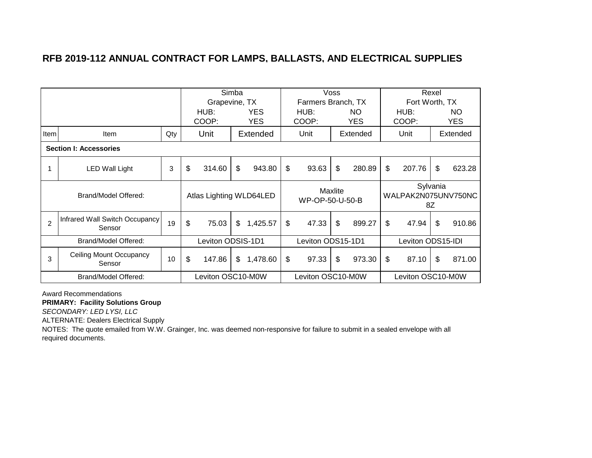|               |                                          |     |                         | Simba          |            |                    | Voss    |            |                     | Rexel          |            |
|---------------|------------------------------------------|-----|-------------------------|----------------|------------|--------------------|---------|------------|---------------------|----------------|------------|
|               |                                          |     | Grapevine, TX           |                |            | Farmers Branch, TX |         |            | Fort Worth, TX      |                |            |
|               |                                          |     | HUB:                    |                | <b>YES</b> | HUB:               |         | NO.        | HUB:                |                | <b>NO</b>  |
|               |                                          |     | COOP:                   |                | <b>YES</b> | COOP:              |         | <b>YES</b> | COOP:               |                | <b>YES</b> |
| Item          | Item                                     | Qty | Unit                    |                | Extended   | Unit               |         | Extended   | Unit                |                | Extended   |
|               | <b>Section I: Accessories</b>            |     |                         |                |            |                    |         |            |                     |                |            |
|               | <b>LED Wall Light</b>                    | 3   | \$<br>314.60            | \$             | 943.80     | \$<br>93.63        | \$      | 280.89     | \$<br>207.76        | \$             | 623.28     |
|               | Brand/Model Offered:                     |     | Atlas Lighting WLD64LED |                |            | WP-OP-50-U-50-B    | Maxlite |            | WALPAK2N075UNV750NC | Sylvania<br>8Z |            |
| $\mathcal{P}$ | Infrared Wall Switch Occupancy<br>Sensor | 19  | \$<br>75.03             | $\mathfrak{S}$ | 1,425.57   | \$<br>47.33        | \$      | 899.27     | \$<br>47.94         | \$             | 910.86     |
|               | Brand/Model Offered:                     |     | Leviton ODSIS-1D1       |                |            | Leviton ODS15-1D1  |         |            | Leviton ODS15-IDI   |                |            |
| 3             | Ceiling Mount Occupancy<br>Sensor        | 10  | \$<br>147.86            | \$             | 1,478.60   | \$<br>97.33        | \$      | 973.30     | \$<br>87.10         | \$             | 871.00     |
|               | Brand/Model Offered:                     |     | Leviton OSC10-M0W       |                |            | Leviton OSC10-M0W  |         |            | Leviton OSC10-M0W   |                |            |

Award Recommendations

**PRIMARY: Facility Solutions Group**

*SECONDARY: LED LYSI, LLC*

ALTERNATE: Dealers Electrical Supply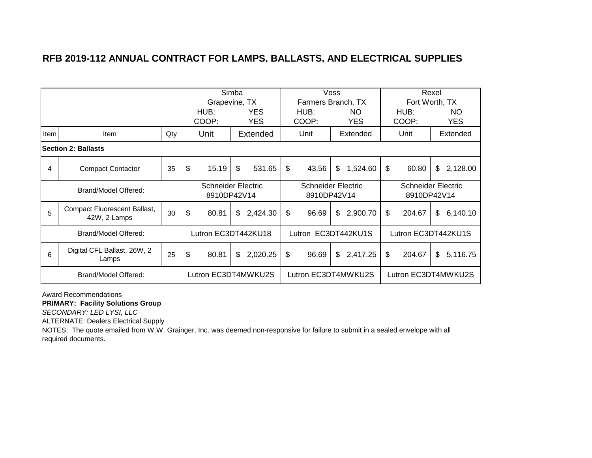|      |                                              |     |                                          | Simba          |            |                                          | Voss         |            |                                          | Rexel       |            |
|------|----------------------------------------------|-----|------------------------------------------|----------------|------------|------------------------------------------|--------------|------------|------------------------------------------|-------------|------------|
|      |                                              |     | Grapevine, TX                            |                |            | Farmers Branch, TX                       |              |            | Fort Worth, TX                           |             |            |
|      |                                              |     | HUB:                                     |                | <b>YES</b> | HUB:                                     |              | NO.        | HUB:                                     |             | NO         |
|      |                                              |     | COOP:                                    |                | <b>YES</b> | COOP:                                    |              | <b>YES</b> | COOP:                                    |             | <b>YES</b> |
| Item | <b>Item</b>                                  | Qty | Unit                                     |                | Extended   | Unit                                     |              | Extended   | Unit                                     |             | Extended   |
|      | <b>Section 2: Ballasts</b>                   |     |                                          |                |            |                                          |              |            |                                          |             |            |
| 4    | <b>Compact Contactor</b>                     | 35  | \$<br>15.19                              | \$             | 531.65     | \$<br>43.56                              | \$           | 1,524.60   | \$<br>60.80                              | \$          | 2,128.00   |
|      | Brand/Model Offered:                         |     | <b>Schneider Electric</b><br>8910DP42V14 |                |            | <b>Schneider Electric</b><br>8910DP42V14 |              |            | <b>Schneider Electric</b><br>8910DP42V14 |             |            |
| 5    | Compact Fluorescent Ballast,<br>42W, 2 Lamps | 30  | \$<br>80.81                              | $\mathfrak{L}$ | 2,424.30   | \$<br>96.69                              | $\mathbb{S}$ | 2,900.70   | \$<br>204.67                             | $\mathbb S$ | 6,140.10   |
|      | Brand/Model Offered:                         |     | Lutron EC3DT442KU18                      |                |            | Lutron EC3DT442KU1S                      |              |            | Lutron EC3DT442KU1S                      |             |            |
| 6    | Digital CFL Ballast, 26W, 2<br>Lamps         | 25  | \$<br>80.81                              | \$             | 2,020.25   | \$<br>96.69                              | \$           | 2,417.25   | \$<br>204.67                             | \$          | 5,116.75   |
|      | Brand/Model Offered:                         |     | Lutron EC3DT4MWKU2S                      |                |            | Lutron EC3DT4MWKU2S                      |              |            | Lutron EC3DT4MWKU2S                      |             |            |

Award Recommendations

**PRIMARY: Facility Solutions Group**

*SECONDARY: LED LYSI, LLC*

ALTERNATE: Dealers Electrical Supply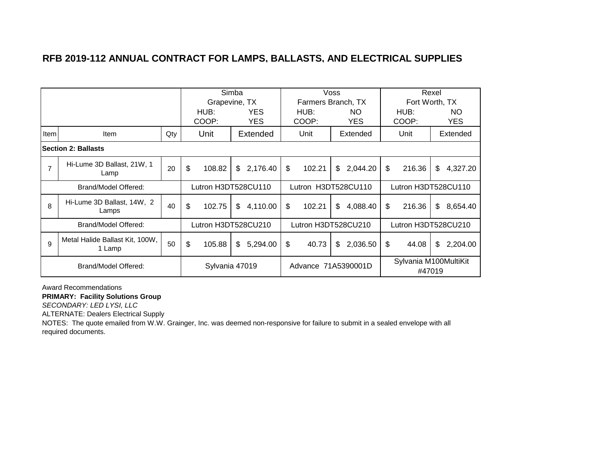|                |                                           |     |              | Simba                      |              | Voss                |              | Rexel                           |
|----------------|-------------------------------------------|-----|--------------|----------------------------|--------------|---------------------|--------------|---------------------------------|
|                |                                           |     |              | Grapevine, TX              |              | Farmers Branch, TX  |              | Fort Worth, TX                  |
|                |                                           |     | HUB:         | <b>YES</b>                 | HUB:         | NO.                 | HUB:         | <b>NO</b>                       |
|                |                                           |     | COOP:        | <b>YES</b>                 | COOP:        | <b>YES</b>          | COOP:        | <b>YES</b>                      |
| Item           | Item                                      | Qty | Unit         | Extended                   | Unit         | Extended            | Unit         | Extended                        |
|                | <b>Section 2: Ballasts</b>                |     |              |                            |              |                     |              |                                 |
| $\overline{7}$ | Hi-Lume 3D Ballast, 21W, 1<br>Lamp        | 20  | \$<br>108.82 | 2,176.40<br>\$             | \$<br>102.21 | \$<br>2,044.20      | \$<br>216.36 | \$<br>4,327.20                  |
|                | Brand/Model Offered:                      |     |              | Lutron H3DT528CU110        |              | Lutron H3DT528CU110 |              | Lutron H3DT528CU110             |
| 8              | Hi-Lume 3D Ballast, 14W, 2<br>Lamps       | 40  | \$<br>102.75 | \$<br>4,110.00             | \$<br>102.21 | \$<br>4,088.40      | \$<br>216.36 | \$<br>8,654.40                  |
|                | Brand/Model Offered:                      |     |              | Lutron H3DT528CU210        |              | Lutron H3DT528CU210 |              | Lutron H3DT528CU210             |
| 9              | Metal Halide Ballast Kit, 100W,<br>1 Lamp | 50  | \$<br>105.88 | $\mathfrak{S}$<br>5,294.00 | \$<br>40.73  | \$<br>2,036.50      | \$<br>44.08  | \$<br>2,204.00                  |
|                | Brand/Model Offered:                      |     |              | Sylvania 47019             |              | Advance 71A5390001D |              | Sylvania M100MultiKit<br>#47019 |

Award Recommendations

**PRIMARY: Facility Solutions Group**

*SECONDARY: LED LYSI, LLC*

ALTERNATE: Dealers Electrical Supply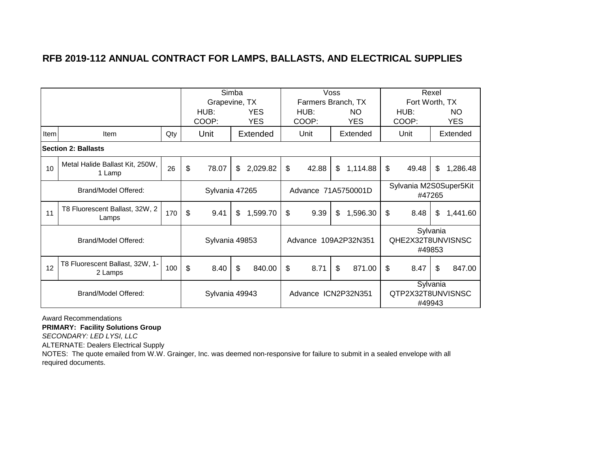|      |                                            |     |             |      | Simba          |                |                      | Voss |            |                                  | Rexel  |            |
|------|--------------------------------------------|-----|-------------|------|----------------|----------------|----------------------|------|------------|----------------------------------|--------|------------|
|      |                                            |     |             |      |                | Grapevine, TX  | Farmers Branch, TX   |      |            | Fort Worth, TX                   |        |            |
|      |                                            |     | HUB:        |      |                | <b>YES</b>     | HUB:                 |      | NO         | HUB:                             |        | NO         |
|      |                                            |     | COOP:       |      |                | <b>YES</b>     | COOP:                |      | <b>YES</b> | COOP:                            |        | <b>YES</b> |
| Item | Item                                       | Qty | Unit        |      |                | Extended       | Unit                 |      | Extended   | Unit                             |        | Extended   |
|      | <b>Section 2: Ballasts</b>                 |     |             |      |                |                |                      |      |            |                                  |        |            |
| 10   | Metal Halide Ballast Kit, 250W,<br>1 Lamp  | 26  | \$<br>78.07 |      | $\mathfrak{S}$ | 2,029.82       | \$<br>42.88          | \$   | 1,114.88   | \$<br>49.48                      | \$     | 1,286.48   |
|      | Brand/Model Offered:                       |     |             |      |                | Sylvania 47265 | Advance 71A5750001D  |      |            | Sylvania M2S0Super5Kit<br>#47265 |        |            |
| 11   | T8 Fluorescent Ballast, 32W, 2<br>Lamps    | 170 | \$<br>9.41  |      | \$             | 1,599.70       | \$<br>9.39           | \$   | 1,596.30   | \$<br>8.48                       | \$     | 1,441.60   |
|      | Brand/Model Offered:                       |     |             |      |                | Sylvania 49853 | Advance 109A2P32N351 |      |            | Sylvania<br>QHE2X32T8UNVISNSC    | #49853 |            |
| 12   | T8 Fluorescent Ballast, 32W, 1-<br>2 Lamps | 100 | \$          | 8.40 | \$             | 840.00         | \$<br>8.71           | \$   | 871.00     | \$<br>8.47                       | \$     | 847.00     |
|      | Brand/Model Offered:                       |     |             |      |                | Sylvania 49943 | Advance ICN2P32N351  |      |            | Sylvania<br>QTP2X32T8UNVISNSC    | #49943 |            |

Award Recommendations

**PRIMARY: Facility Solutions Group**

*SECONDARY: LED LYSI, LLC*

ALTERNATE: Dealers Electrical Supply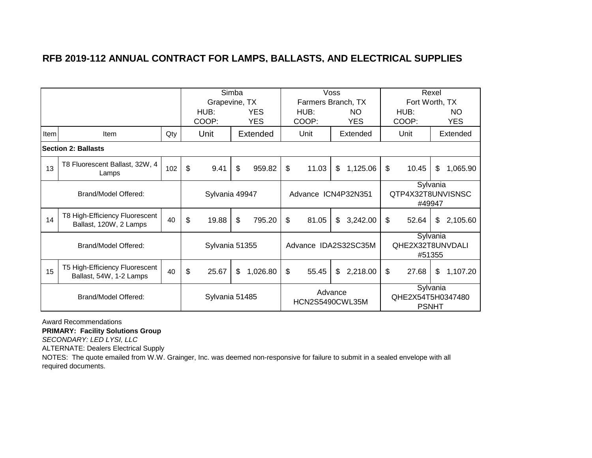|      |                                                           |     |                | Simba |            |                                   | Voss |                      |                                               | Rexel |            |
|------|-----------------------------------------------------------|-----|----------------|-------|------------|-----------------------------------|------|----------------------|-----------------------------------------------|-------|------------|
|      |                                                           |     | Grapevine, TX  |       |            | Farmers Branch, TX                |      |                      | Fort Worth, TX                                |       |            |
|      |                                                           |     | HUB:           |       | <b>YES</b> | HUB:                              |      | NO                   | HUB:                                          |       | NO         |
|      |                                                           |     | COOP:          |       | <b>YES</b> | COOP:                             |      | <b>YES</b>           | COOP:                                         |       | <b>YES</b> |
| Item | Item                                                      | Qty | Unit           |       | Extended   | Unit                              |      | Extended             | Unit                                          |       | Extended   |
|      | <b>Section 2: Ballasts</b>                                |     |                |       |            |                                   |      |                      |                                               |       |            |
| 13   | T8 Fluorescent Ballast, 32W, 4<br>Lamps                   | 102 | \$<br>9.41     | \$    | 959.82     | \$<br>11.03                       | \$   | 1,125.06             | \$<br>10.45                                   | \$    | 1,065.90   |
|      | Brand/Model Offered:                                      |     | Sylvania 49947 |       |            | Advance ICN4P32N351               |      |                      | Sylvania<br>QTP4X32T8UNVISNSC<br>#49947       |       |            |
| 14   | T8 High-Efficiency Fluorescent<br>Ballast, 120W, 2 Lamps  | 40  | \$<br>19.88    | \$    | 795.20     | \$<br>81.05                       | \$   | 3,242.00             | \$<br>52.64                                   | \$    | 2,105.60   |
|      | Brand/Model Offered:                                      |     | Sylvania 51355 |       |            |                                   |      | Advance IDA2S32SC35M | Sylvania<br>QHE2X32T8UNVDALI<br>#51355        |       |            |
| 15   | T5 High-Efficiency Fluorescent<br>Ballast, 54W, 1-2 Lamps | 40  | \$<br>25.67    | \$    | 1,026.80   | \$<br>55.45                       | \$   | 2,218.00             | \$<br>27.68                                   | \$    | 1,107.20   |
|      | Brand/Model Offered:                                      |     | Sylvania 51485 |       |            | Advance<br><b>HCN2S5490CWL35M</b> |      |                      | Sylvania<br>QHE2X54T5H0347480<br><b>PSNHT</b> |       |            |

Award Recommendations

**PRIMARY: Facility Solutions Group**

*SECONDARY: LED LYSI, LLC*

ALTERNATE: Dealers Electrical Supply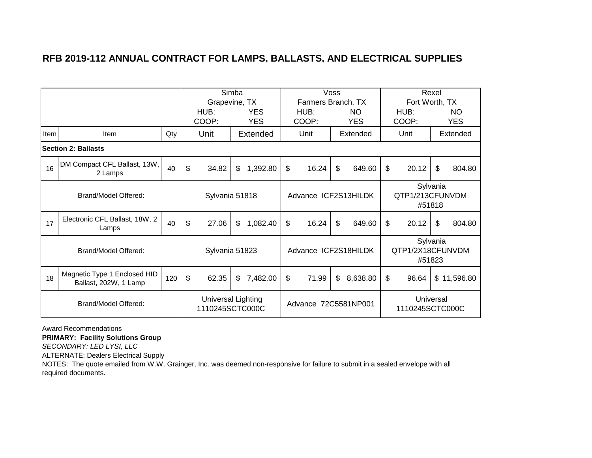|      |                                                       |     |                                       | Simba |            |              |                      | Voss |                      |                  | Rexel              |            |
|------|-------------------------------------------------------|-----|---------------------------------------|-------|------------|--------------|----------------------|------|----------------------|------------------|--------------------|------------|
|      |                                                       |     | Grapevine, TX                         |       |            |              | Farmers Branch, TX   |      |                      | Fort Worth, TX   |                    |            |
|      |                                                       |     | HUB:                                  |       | <b>YES</b> |              | HUB:                 |      | NO.                  | HUB:             |                    | <b>NO</b>  |
|      |                                                       |     | COOP:                                 |       | <b>YES</b> |              | COOP:                |      | <b>YES</b>           | COOP:            |                    | <b>YES</b> |
| Item | Item                                                  | Qty | Unit                                  |       | Extended   |              | Unit                 |      | Extended             | Unit             |                    | Extended   |
|      | <b>Section 2: Ballasts</b>                            |     |                                       |       |            |              |                      |      |                      |                  |                    |            |
| 16   | DM Compact CFL Ballast, 13W,<br>2 Lamps               | 40  | \$<br>34.82                           | \$    | 1,392.80   | $\mathbb{S}$ | 16.24                | \$   | 649.60               | \$<br>20.12      | \$                 | 804.80     |
|      | Brand/Model Offered:                                  |     | Sylvania 51818                        |       |            |              |                      |      | Advance ICF2S13HILDK | QTP1/213CFUNVDM  | Sylvania<br>#51818 |            |
| 17   | Electronic CFL Ballast, 18W, 2<br>Lamps               | 40  | \$<br>27.06                           | \$    | 1,082.40   | \$           | 16.24                | \$   | 649.60               | \$<br>20.12      | \$                 | 804.80     |
|      | Brand/Model Offered:                                  |     | Sylvania 51823                        |       |            |              |                      |      | Advance ICF2S18HILDK | QTP1/2X18CFUNVDM | Sylvania<br>#51823 |            |
| 18   | Magnetic Type 1 Enclosed HID<br>Ballast, 202W, 1 Lamp | 120 | \$<br>62.35                           | \$    | 7,482.00   | \$           | 71.99                | \$   | 8,638.80             | \$<br>96.64      | $\mathfrak{S}$     | 11,596.80  |
|      | Brand/Model Offered:                                  |     | Universal Lighting<br>1110245SCTC000C |       |            |              | Advance 72C5581NP001 |      |                      | 1110245SCTC000C  | Universal          |            |

Award Recommendations

**PRIMARY: Facility Solutions Group**

*SECONDARY: LED LYSI, LLC*

ALTERNATE: Dealers Electrical Supply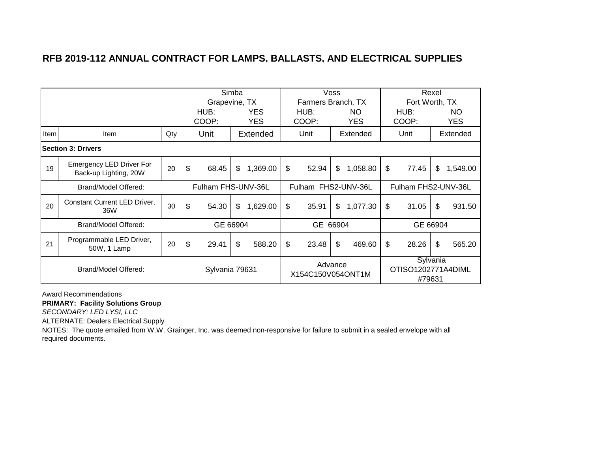|      |                                                          |     |                    | Simba |            |                              | Voss |            |                                          | Rexel |            |
|------|----------------------------------------------------------|-----|--------------------|-------|------------|------------------------------|------|------------|------------------------------------------|-------|------------|
|      |                                                          |     | Grapevine, TX      |       |            | Farmers Branch, TX           |      |            | Fort Worth, TX                           |       |            |
|      |                                                          |     | HUB:               |       | <b>YES</b> | HUB:                         |      | NO.        | HUB:                                     |       | NO         |
|      |                                                          |     | COOP:              |       | <b>YES</b> | COOP:                        |      | <b>YES</b> | COOP:                                    |       | <b>YES</b> |
| Item | <b>Item</b>                                              | Qty | Unit               |       | Extended   | Unit                         |      | Extended   | Unit                                     |       | Extended   |
|      | <b>Section 3: Drivers</b>                                |     |                    |       |            |                              |      |            |                                          |       |            |
| 19   | <b>Emergency LED Driver For</b><br>Back-up Lighting, 20W | 20  | \$<br>68.45        | \$    | 1,369.00   | \$<br>52.94                  | \$   | 1,058.80   | \$<br>77.45                              | \$    | 1,549.00   |
|      | Brand/Model Offered:                                     |     | Fulham FHS-UNV-36L |       |            | Fulham FHS2-UNV-36L          |      |            | Fulham FHS2-UNV-36L                      |       |            |
| 20   | <b>Constant Current LED Driver,</b><br>36W               | 30  | \$<br>54.30        | \$    | 1,629.00   | \$<br>35.91                  | \$   | 1,077.30   | \$<br>31.05                              | \$    | 931.50     |
|      | Brand/Model Offered:                                     |     | GE 66904           |       |            | GE 66904                     |      |            | GE 66904                                 |       |            |
| 21   | Programmable LED Driver,<br>50W, 1 Lamp                  | 20  | \$<br>29.41        | \$    | 588.20     | \$<br>23.48                  | \$   | 469.60     | \$<br>28.26                              | \$    | 565.20     |
|      | Brand/Model Offered:                                     |     | Sylvania 79631     |       |            | Advance<br>X154C150V054ONT1M |      |            | Sylvania<br>OTISO1202771A4DIML<br>#79631 |       |            |

Award Recommendations

**PRIMARY: Facility Solutions Group**

*SECONDARY: LED LYSI, LLC*

ALTERNATE: Dealers Electrical Supply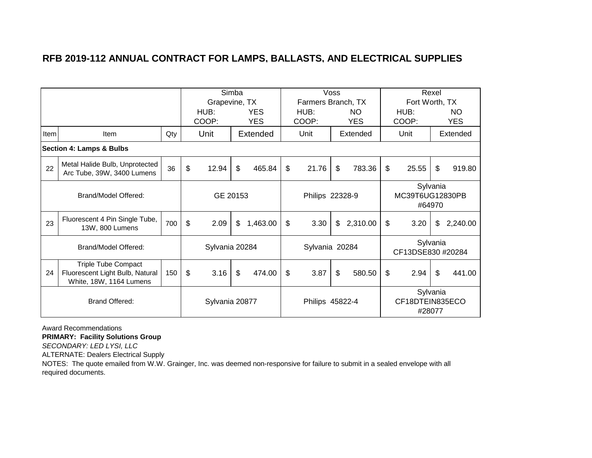|      |                                                                                          |     |                |                | Simba          |            |                    | Voss           |            |                                       | Rexel    |            |
|------|------------------------------------------------------------------------------------------|-----|----------------|----------------|----------------|------------|--------------------|----------------|------------|---------------------------------------|----------|------------|
|      |                                                                                          |     |                | Grapevine, TX  |                |            | Farmers Branch, TX |                |            | Fort Worth, TX                        |          |            |
|      |                                                                                          |     |                | HUB:           |                | <b>YES</b> | HUB:               |                | NO.        | HUB:                                  |          | NO.        |
|      |                                                                                          |     |                | COOP:          |                | <b>YES</b> | COOP:              |                | <b>YES</b> | COOP:                                 |          | <b>YES</b> |
| Item | Item                                                                                     | Qty |                | Unit           |                | Extended   | Unit               |                | Extended   | Unit                                  |          | Extended   |
|      | <b>Section 4: Lamps &amp; Bulbs</b>                                                      |     |                |                |                |            |                    |                |            |                                       |          |            |
| 22   | Metal Halide Bulb, Unprotected<br>Arc Tube, 39W, 3400 Lumens                             | 36  | \$             | 12.94          | $\mathfrak{S}$ | 465.84     | \$<br>21.76        | $\mathfrak{s}$ | 783.36     | \$<br>25.55                           | \$       | 919.80     |
|      | Brand/Model Offered:                                                                     |     |                | GE 20153       |                |            | Philips 22328-9    |                |            | Sylvania<br>MC39T6UG12830PB<br>#64970 |          |            |
| 23   | Fluorescent 4 Pin Single Tube,<br>13W, 800 Lumens                                        | 700 | \$             | 2.09           | \$             | 1,463.00   | \$<br>3.30         | \$             | 2,310.00   | \$<br>3.20                            | 2,240.00 |            |
|      | Brand/Model Offered:                                                                     |     |                | Sylvania 20284 |                |            | Sylvania 20284     |                |            | Sylvania<br>CF13DSE830 #20284         |          |            |
| 24   | <b>Triple Tube Compact</b><br>Fluorescent Light Bulb, Natural<br>White, 18W, 1164 Lumens | 150 | $\mathfrak{s}$ | 3.16           | \$             | 474.00     | \$<br>3.87         | \$             | 580.50     | \$<br>2.94                            | \$       | 441.00     |
|      | <b>Brand Offered:</b>                                                                    |     |                | Sylvania 20877 |                |            | Philips 45822-4    |                |            | Sylvania<br>CF18DTEIN835ECO<br>#28077 |          |            |

Award Recommendations

**PRIMARY: Facility Solutions Group**

*SECONDARY: LED LYSI, LLC*

ALTERNATE: Dealers Electrical Supply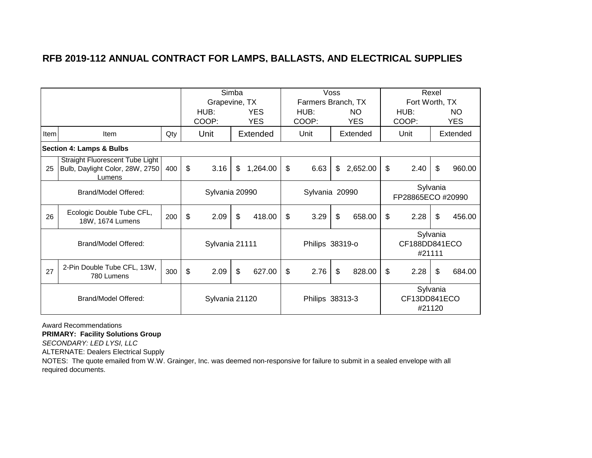|      |                                                                              |     |                |                | Simba                     |            |                    | Voss |            |                   | Rexel              |            |
|------|------------------------------------------------------------------------------|-----|----------------|----------------|---------------------------|------------|--------------------|------|------------|-------------------|--------------------|------------|
|      |                                                                              |     |                | Grapevine, TX  |                           |            | Farmers Branch, TX |      |            | Fort Worth, TX    |                    |            |
|      |                                                                              |     |                | HUB:           |                           | <b>YES</b> | HUB:               |      | <b>NO</b>  | HUB:              |                    | NO         |
|      |                                                                              |     |                | COOP:          |                           | <b>YES</b> | COOP:              |      | <b>YES</b> | COOP:             |                    | <b>YES</b> |
| Item | Item                                                                         | Qty |                | Unit           |                           | Extended   | Unit               |      | Extended   | Unit              |                    | Extended   |
|      | <b>Section 4: Lamps &amp; Bulbs</b>                                          |     |                |                |                           |            |                    |      |            |                   |                    |            |
| 25   | Straight Fluorescent Tube Light<br>Bulb, Daylight Color, 28W, 2750<br>Lumens | 400 | $\mathfrak{S}$ | 3.16           | \$                        | 1,264.00   | \$<br>6.63         | \$   | 2,652.00   | \$<br>2.40        | \$                 | 960.00     |
|      | Brand/Model Offered:                                                         |     |                | Sylvania 20990 |                           |            | Sylvania 20990     |      |            | FP28865ECO #20990 | Sylvania           |            |
| 26   | Ecologic Double Tube CFL,<br>18W, 1674 Lumens                                | 200 | \$             | 2.09           | $\boldsymbol{\mathsf{S}}$ | 418.00     | \$<br>3.29         | \$   | 658.00     | \$<br>2.28        | \$                 | 456.00     |
|      | Brand/Model Offered:                                                         |     |                | Sylvania 21111 |                           |            | Philips 38319-o    |      |            | CF188DD841ECO     | Sylvania<br>#21111 |            |
| 27   | 2-Pin Double Tube CFL, 13W,<br>780 Lumens                                    | 300 | \$             | 2.09           | $\mathfrak{s}$            | 627.00     | \$<br>2.76         | \$   | 828.00     | \$<br>2.28        | \$                 | 684.00     |
|      | Brand/Model Offered:                                                         |     |                | Sylvania 21120 |                           |            | Philips 38313-3    |      |            | CF13DD841ECO      | Sylvania<br>#21120 |            |

Award Recommendations

**PRIMARY: Facility Solutions Group**

*SECONDARY: LED LYSI, LLC*

ALTERNATE: Dealers Electrical Supply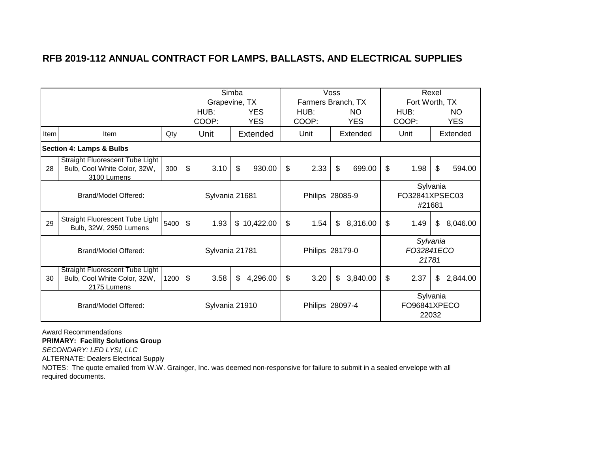|      |                                                                                |      |                | Simba |             |                    | Voss |            |                                      | Rexel |            |
|------|--------------------------------------------------------------------------------|------|----------------|-------|-------------|--------------------|------|------------|--------------------------------------|-------|------------|
|      |                                                                                |      | Grapevine, TX  |       |             | Farmers Branch, TX |      |            | Fort Worth, TX                       |       |            |
|      |                                                                                |      | HUB:           |       | <b>YES</b>  | HUB:               |      | NO.        | HUB:                                 |       | <b>NO</b>  |
|      |                                                                                |      | COOP:          |       | <b>YES</b>  | COOP:              |      | <b>YES</b> | COOP:                                |       | <b>YES</b> |
| Item | Item                                                                           | Qty  | Unit           |       | Extended    | Unit               |      | Extended   | Unit                                 |       | Extended   |
|      | <b>Section 4: Lamps &amp; Bulbs</b>                                            |      |                |       |             |                    |      |            |                                      |       |            |
| 28   | Straight Fluorescent Tube Light<br>Bulb, Cool White Color, 32W,<br>3100 Lumens | 300  | \$<br>3.10     | \$    | 930.00      | \$<br>2.33         | \$   | 699.00     | \$<br>1.98                           | \$    | 594.00     |
|      | Brand/Model Offered:                                                           |      | Sylvania 21681 |       |             | Philips 28085-9    |      |            | Sylvania<br>FO32841XPSEC03<br>#21681 |       |            |
| 29   | Straight Fluorescent Tube Light<br>Bulb, 32W, 2950 Lumens                      | 5400 | \$<br>1.93     |       | \$10,422.00 | \$<br>1.54         | \$   | 8,316.00   | \$<br>1.49                           | \$    | 8,046.00   |
|      | Brand/Model Offered:                                                           |      | Sylvania 21781 |       |             | Philips 28179-0    |      |            | Sylvania<br>F032841ECO<br>21781      |       |            |
| 30   | Straight Fluorescent Tube Light<br>Bulb, Cool White Color, 32W,<br>2175 Lumens | 1200 | \$<br>3.58     | \$    | 4,296.00    | \$<br>3.20         | \$   | 3,840.00   | \$<br>2.37                           | \$    | 2,844.00   |
|      | Brand/Model Offered:                                                           |      | Sylvania 21910 |       |             | Philips 28097-4    |      |            | Sylvania<br>FO96841XPECO             | 22032 |            |

Award Recommendations

**PRIMARY: Facility Solutions Group**

*SECONDARY: LED LYSI, LLC*

ALTERNATE: Dealers Electrical Supply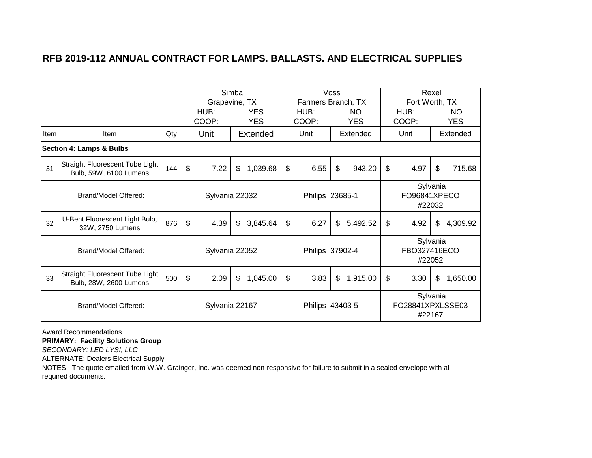|      |                                                           |     |                         |                | Simba |            |                    | Voss |            |                            | Rexel              |            |
|------|-----------------------------------------------------------|-----|-------------------------|----------------|-------|------------|--------------------|------|------------|----------------------------|--------------------|------------|
|      |                                                           |     |                         | Grapevine, TX  |       |            | Farmers Branch, TX |      |            | Fort Worth, TX             |                    |            |
|      |                                                           |     |                         | HUB:           |       | <b>YES</b> | HUB:               |      | NO.        | HUB:                       |                    | <b>NO</b>  |
|      |                                                           |     |                         | COOP:          |       | <b>YES</b> | COOP:              |      | <b>YES</b> | COOP:                      |                    | <b>YES</b> |
| Item | Item                                                      | Qty |                         | Unit           |       | Extended   | Unit               |      | Extended   | Unit                       |                    | Extended   |
|      | <b>Section 4: Lamps &amp; Bulbs</b>                       |     |                         |                |       |            |                    |      |            |                            |                    |            |
| 31   | Straight Fluorescent Tube Light<br>Bulb, 59W, 6100 Lumens | 144 | $\sqrt[6]{\frac{1}{2}}$ | 7.22           | \$    | 1,039.68   | \$<br>6.55         | \$   | 943.20     | \$<br>4.97                 | \$                 | 715.68     |
|      | Brand/Model Offered:                                      |     |                         | Sylvania 22032 |       |            | Philips 23685-1    |      |            | FO96841XPECO               | Sylvania<br>#22032 |            |
| 32   | U-Bent Fluorescent Light Bulb,<br>32W, 2750 Lumens        | 876 | \$                      | 4.39           | \$    | 3,845.64   | \$<br>6.27         | \$   | 5,492.52   | \$<br>4.92                 | \$                 | 4,309.92   |
|      | Brand/Model Offered:                                      |     |                         | Sylvania 22052 |       |            | Philips 37902-4    |      |            | FBO327416ECO               | Sylvania<br>#22052 |            |
| 33   | Straight Fluorescent Tube Light<br>Bulb, 28W, 2600 Lumens | 500 | \$                      | 2.09           | \$    | 1,045.00   | \$<br>3.83         | \$   | 1,915.00   | \$<br>3.30                 | \$                 | 1,650.00   |
|      | Brand/Model Offered:                                      |     |                         | Sylvania 22167 |       |            | Philips 43403-5    |      |            | FO28841XPXLSSE03<br>#22167 | Sylvania           |            |

Award Recommendations

**PRIMARY: Facility Solutions Group**

*SECONDARY: LED LYSI, LLC*

ALTERNATE: Dealers Electrical Supply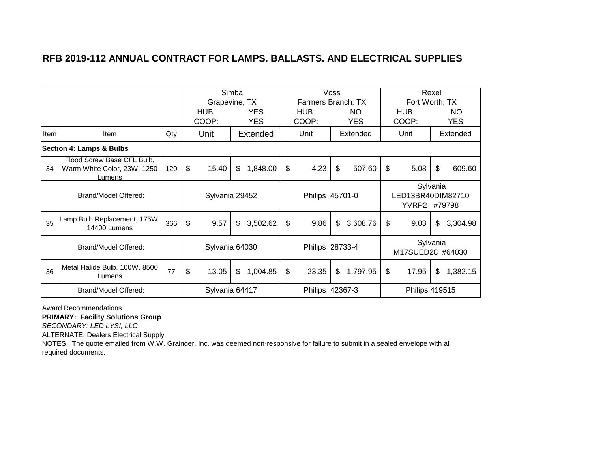|      |                                                                     |     |                | Simba          |             | Voss               |                                               | Rexel          |  |
|------|---------------------------------------------------------------------|-----|----------------|----------------|-------------|--------------------|-----------------------------------------------|----------------|--|
|      |                                                                     |     |                | Grapevine, TX  |             | Farmers Branch, TX | Fort Worth, TX                                |                |  |
|      |                                                                     |     | HUB:           | <b>YES</b>     | HUB:        | NO.                | HUB:                                          | <b>NO</b>      |  |
|      |                                                                     |     | COOP:          | <b>YES</b>     | COOP:       | <b>YES</b>         | COOP:                                         | <b>YES</b>     |  |
| Item | Item                                                                | Qty | Unit           | Extended       | Unit        | Extended           | Unit                                          | Extended       |  |
|      | <b>Section 4: Lamps &amp; Bulbs</b>                                 |     |                |                |             |                    |                                               |                |  |
| 34   | Flood Screw Base CFL Bulb,<br>Warm White Color, 23W, 1250<br>Lumens | 120 | \$<br>15.40    | \$<br>1,848.00 | \$<br>4.23  | \$<br>507.60       | \$<br>5.08                                    | \$<br>609.60   |  |
|      | Brand/Model Offered:                                                |     | Sylvania 29452 |                |             | Philips 45701-0    | Sylvania<br>LED13BR40DIM82710<br>YVRP2 #79798 |                |  |
| 35   | Lamp Bulb Replacement, 175W,<br>14400 Lumens                        | 366 | \$<br>9.57     | \$<br>3,502.62 | \$<br>9.86  | \$<br>3,608.76     | \$<br>9.03                                    | \$<br>3,304.98 |  |
|      | Brand/Model Offered:                                                |     | Sylvania 64030 |                |             | Philips 28733-4    | Sylvania<br>M17SUED28 #64030                  |                |  |
| 36   | Metal Halide Bulb, 100W, 8500<br>Lumens                             | 77  | \$<br>13.05    | \$<br>1,004.85 | \$<br>23.35 | \$<br>1,797.95     | \$<br>17.95                                   | \$<br>1,382.15 |  |
|      | Brand/Model Offered:                                                |     | Sylvania 64417 |                |             | Philips 42367-3    | <b>Philips 419515</b>                         |                |  |

Award Recommendations

**PRIMARY: Facility Solutions Group**

*SECONDARY: LED LYSI, LLC*

ALTERNATE: Dealers Electrical Supply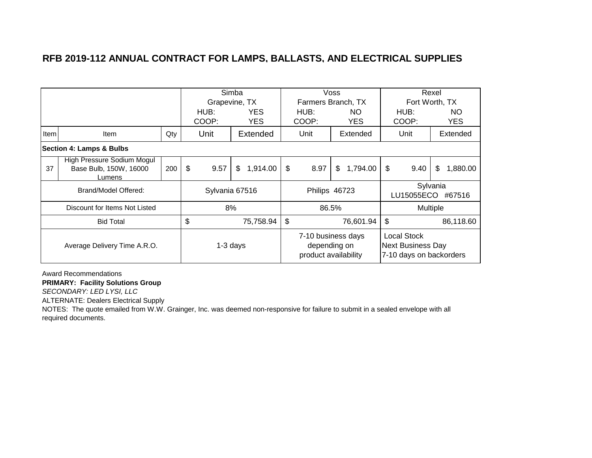|                                     |                                                                |     |                | Simba                      |               | Voss                                                       |                                                                           | Rexel          |  |
|-------------------------------------|----------------------------------------------------------------|-----|----------------|----------------------------|---------------|------------------------------------------------------------|---------------------------------------------------------------------------|----------------|--|
|                                     |                                                                |     |                | Grapevine, TX              |               | Farmers Branch, TX                                         |                                                                           | Fort Worth, TX |  |
|                                     |                                                                |     | HUB:           | <b>YES</b>                 | HUB:          | NO.                                                        | HUB:                                                                      | NO.            |  |
|                                     |                                                                |     | COOP:          | <b>YES</b>                 | COOP:         | <b>YES</b>                                                 | COOP:                                                                     | <b>YES</b>     |  |
| Item                                | Item                                                           | Qty | Unit           | Extended                   | Unit          | Extended                                                   | Unit                                                                      | Extended       |  |
| <b>Section 4: Lamps &amp; Bulbs</b> |                                                                |     |                |                            |               |                                                            |                                                                           |                |  |
| 37                                  | High Pressure Sodium Mogul<br>Base Bulb, 150W, 16000<br>Lumens | 200 | \$<br>9.57     | $\mathfrak{S}$<br>1,914.00 | \$<br>8.97    | \$<br>1,794.00                                             | \$<br>9.40                                                                | \$<br>1,880.00 |  |
|                                     | Brand/Model Offered:                                           |     | Sylvania 67516 |                            | Philips 46723 |                                                            | Sylvania<br>LU15055ECO<br>#67516                                          |                |  |
|                                     | Discount for Items Not Listed                                  |     |                | 8%                         |               | 86.5%                                                      | Multiple                                                                  |                |  |
|                                     | <b>Bid Total</b>                                               |     | \$             | 75,758.94                  | \$            | 76,601.94                                                  | \$                                                                        | 86,118.60      |  |
| Average Delivery Time A.R.O.        |                                                                |     | 1-3 days       |                            |               | 7-10 business days<br>depending on<br>product availability | <b>Local Stock</b><br><b>Next Business Day</b><br>7-10 days on backorders |                |  |

Award Recommendations

**PRIMARY: Facility Solutions Group**

*SECONDARY: LED LYSI, LLC*

ALTERNATE: Dealers Electrical Supply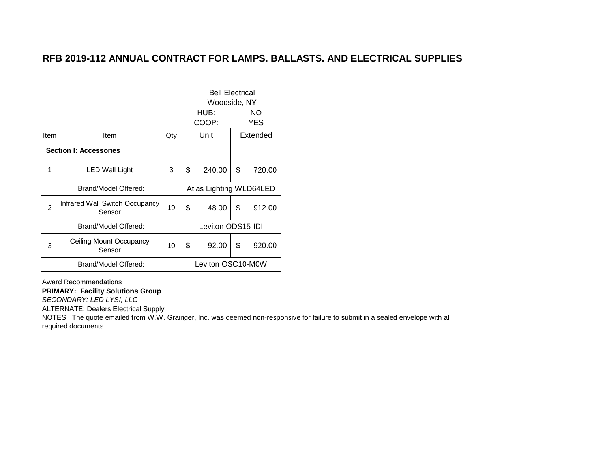|                               |                                          |                   |                         | <b>Bell Electrical</b><br>Woodside, NY |          |        |
|-------------------------------|------------------------------------------|-------------------|-------------------------|----------------------------------------|----------|--------|
|                               |                                          |                   |                         | HUB:                                   | NO.      |        |
|                               |                                          |                   |                         | COOP:<br>YES                           |          |        |
| Item                          | Item                                     | Qty               | Unit                    |                                        | Extended |        |
| <b>Section I: Accessories</b> |                                          |                   |                         |                                        |          |        |
| 1                             | <b>LED Wall Light</b>                    | 3                 | \$                      | 240.00                                 | \$       | 720.00 |
|                               | Brand/Model Offered:                     |                   | Atlas Lighting WLD64LED |                                        |          |        |
| $\overline{2}$                | Infrared Wall Switch Occupancy<br>Sensor | 19                | \$                      | 48.00                                  | \$       | 912.00 |
|                               | Brand/Model Offered:                     |                   |                         | Leviton ODS15-IDI                      |          |        |
| 3                             | <b>Ceiling Mount Occupancy</b><br>Sensor | 10                | \$                      | 92.00                                  | \$       | 920.00 |
|                               | Brand/Model Offered:                     | Leviton OSC10-M0W |                         |                                        |          |        |

Award Recommendations

#### **PRIMARY: Facility Solutions Group**

*SECONDARY: LED LYSI, LLC*

ALTERNATE: Dealers Electrical Supply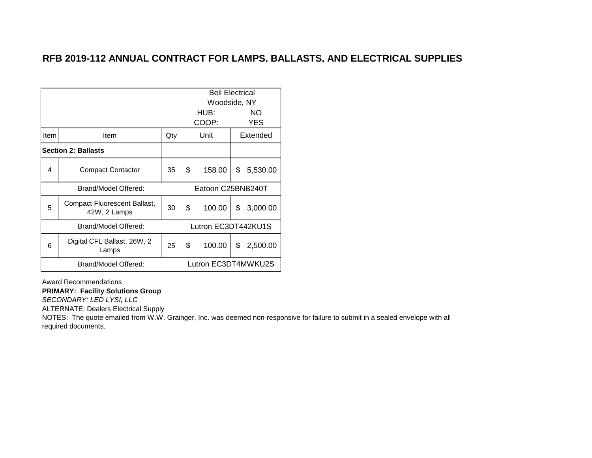|                            |                                              |                     |                     | <b>Bell Electrical</b> |     |          |  |
|----------------------------|----------------------------------------------|---------------------|---------------------|------------------------|-----|----------|--|
|                            |                                              |                     |                     | Woodside, NY<br>HUB:   | NO. |          |  |
|                            |                                              |                     |                     | COOP:                  |     | YES      |  |
|                            |                                              |                     |                     |                        |     |          |  |
| Item                       | Item                                         | Qty                 |                     | Unit                   |     | Extended |  |
| <b>Section 2: Ballasts</b> |                                              |                     |                     |                        |     |          |  |
| 4                          | <b>Compact Contactor</b>                     | 35                  | \$                  | 158.00                 | \$  | 5,530.00 |  |
|                            | Brand/Model Offered:                         |                     | Eatoon C25BNB240T   |                        |     |          |  |
| 5                          | Compact Fluorescent Ballast,<br>42W, 2 Lamps | 30                  | \$                  | 100.00                 | \$  | 3,000.00 |  |
|                            | Brand/Model Offered:                         |                     | Lutron EC3DT442KU1S |                        |     |          |  |
| 6                          | Digital CFL Ballast, 26W, 2<br>Lamps         | 25                  | \$                  | 100.00                 | \$  | 2,500.00 |  |
|                            | Brand/Model Offered:                         | Lutron EC3DT4MWKU2S |                     |                        |     |          |  |

Award Recommendations

#### **PRIMARY: Facility Solutions Group**

*SECONDARY: LED LYSI, LLC*

ALTERNATE: Dealers Electrical Supply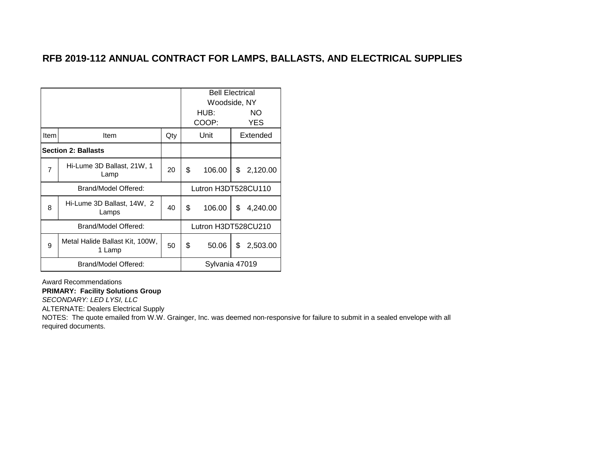|                            |                                           |     |                     | <b>Bell Electrical</b> |    |          |
|----------------------------|-------------------------------------------|-----|---------------------|------------------------|----|----------|
|                            |                                           |     |                     | Woodside, NY<br>HUB:   |    | NO.      |
|                            |                                           |     |                     | COOP:                  |    | YES      |
| Item                       | Item                                      | Qty |                     | Unit                   |    | Extended |
| <b>Section 2: Ballasts</b> |                                           |     |                     |                        |    |          |
| $\overline{7}$             | Hi-Lume 3D Ballast, 21W, 1<br>Lamp        | 20  | \$                  | 106.00                 | \$ | 2,120.00 |
|                            | Brand/Model Offered:                      |     | Lutron H3DT528CU110 |                        |    |          |
| 8                          | Hi-Lume 3D Ballast, 14W, 2<br>Lamps       | 40  | \$                  | 106.00                 | \$ | 4,240.00 |
|                            | Brand/Model Offered:                      |     | Lutron H3DT528CU210 |                        |    |          |
| 9                          | Metal Halide Ballast Kit, 100W,<br>1 Lamp | 50  | \$                  | 50.06                  | \$ | 2,503.00 |
|                            | Brand/Model Offered:                      |     | Sylvania 47019      |                        |    |          |

Award Recommendations

#### **PRIMARY: Facility Solutions Group**

*SECONDARY: LED LYSI, LLC*

ALTERNATE: Dealers Electrical Supply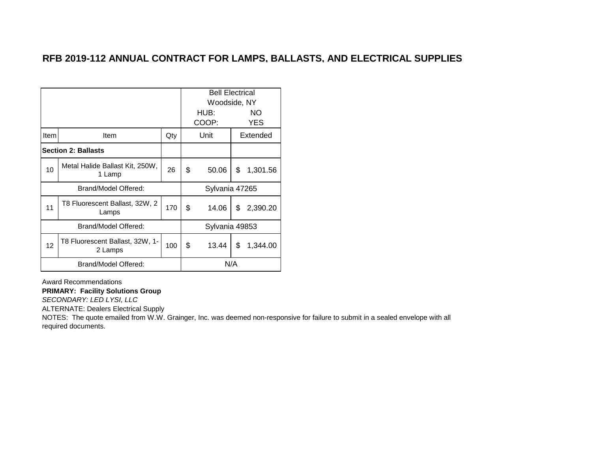|                            |                                            |     |                | <b>Bell Electrical</b> |     |            |
|----------------------------|--------------------------------------------|-----|----------------|------------------------|-----|------------|
|                            |                                            |     |                | Woodside, NY<br>HUB:   | NO. |            |
|                            |                                            |     |                | COOP:                  |     | <b>YES</b> |
| Item                       | Item                                       | Qty |                | Unit                   |     | Extended   |
| <b>Section 2: Ballasts</b> |                                            |     |                |                        |     |            |
| 10                         | Metal Halide Ballast Kit, 250W,<br>1 Lamp  | 26  | \$             | 50.06                  | \$  | 1,301.56   |
|                            | Brand/Model Offered:                       |     | Sylvania 47265 |                        |     |            |
| 11                         | T8 Fluorescent Ballast, 32W, 2<br>Lamps    | 170 | \$             | 14.06                  | \$  | 2,390.20   |
|                            | Brand/Model Offered:                       |     | Sylvania 49853 |                        |     |            |
| 12                         | T8 Fluorescent Ballast, 32W, 1-<br>2 Lamps | 100 | \$             | 13.44                  | \$  | 1,344.00   |
|                            | Brand/Model Offered:                       |     | N/A            |                        |     |            |

Award Recommendations

#### **PRIMARY: Facility Solutions Group**

*SECONDARY: LED LYSI, LLC*

ALTERNATE: Dealers Electrical Supply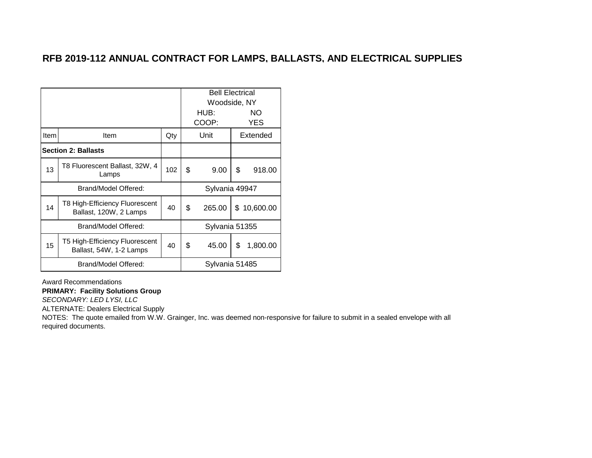|                            |                                                           |     | <b>Bell Electrical</b><br>Woodside, NY |                |            |             |
|----------------------------|-----------------------------------------------------------|-----|----------------------------------------|----------------|------------|-------------|
|                            |                                                           |     |                                        | HUB:<br>COOP:  | NO.<br>YES |             |
| Item                       | Item                                                      | Qty |                                        | Unit           |            | Extended    |
| <b>Section 2: Ballasts</b> |                                                           |     |                                        |                |            |             |
| 13                         | T8 Fluorescent Ballast, 32W, 4<br>Lamps                   | 102 | \$                                     | 9.00           | \$         | 918.00      |
|                            | Brand/Model Offered:                                      |     | Sylvania 49947                         |                |            |             |
| 14                         | T8 High-Efficiency Fluorescent<br>Ballast, 120W, 2 Lamps  | 40  | \$                                     | 265.00         |            | \$10,600.00 |
|                            | Brand/Model Offered:                                      |     |                                        | Sylvania 51355 |            |             |
| 15                         | T5 High-Efficiency Fluorescent<br>Ballast, 54W, 1-2 Lamps | 40  | \$                                     | 45.00          | \$         | 1,800.00    |
|                            | Brand/Model Offered:                                      |     | Sylvania 51485                         |                |            |             |

Award Recommendations

#### **PRIMARY: Facility Solutions Group**

*SECONDARY: LED LYSI, LLC*

ALTERNATE: Dealers Electrical Supply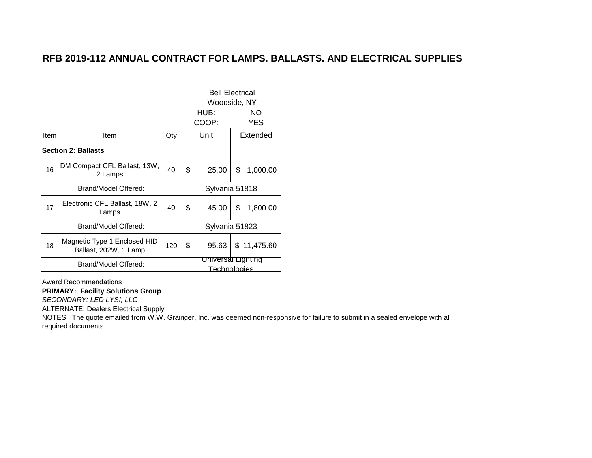|                            |                                                       |     | <b>Bell Electrical</b><br>Woodside, NY |                |    |             |
|----------------------------|-------------------------------------------------------|-----|----------------------------------------|----------------|----|-------------|
|                            |                                                       |     |                                        | HUB:<br>COOP:  |    | NO.<br>YES  |
| Item                       | <b>Item</b>                                           | Qty |                                        | Unit           |    | Extended    |
| <b>Section 2: Ballasts</b> |                                                       |     |                                        |                |    |             |
| 16                         | DM Compact CFL Ballast, 13W,<br>2 Lamps               | 40  | \$                                     | 25.00          | \$ | 1,000.00    |
|                            | Brand/Model Offered:                                  |     | Sylvania 51818                         |                |    |             |
| 17                         | Electronic CFL Ballast, 18W, 2<br>Lamps               | 40  | \$                                     | 45.00          | \$ | 1,800.00    |
|                            | Brand/Model Offered:                                  |     |                                        | Sylvania 51823 |    |             |
| 18                         | Magnetic Type 1 Enclosed HID<br>Ballast, 202W, 1 Lamp | 120 | \$                                     | 95.63          |    | \$11,475.60 |
|                            | Brand/Model Offered:                                  |     | Universal Lighting<br>Technologies     |                |    |             |

Award Recommendations

#### **PRIMARY: Facility Solutions Group**

*SECONDARY: LED LYSI, LLC*

ALTERNATE: Dealers Electrical Supply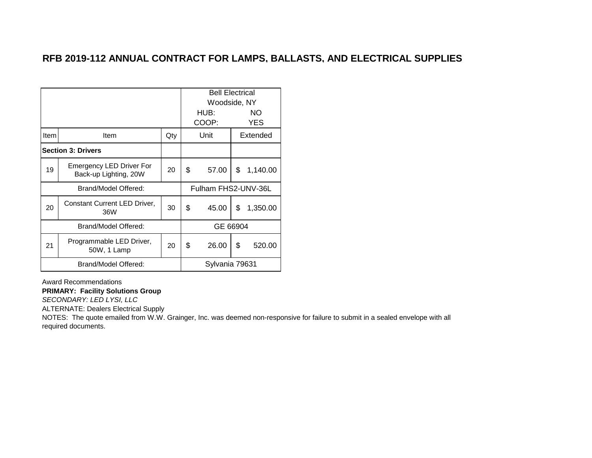|                           |                                                          |     |                     | <b>Bell Electrical</b><br>Woodside, NY |    |            |
|---------------------------|----------------------------------------------------------|-----|---------------------|----------------------------------------|----|------------|
|                           |                                                          |     | HUB:<br>COOP:       |                                        |    | NO.<br>YES |
| Item                      | Item                                                     | Qty |                     | Unit                                   |    | Extended   |
| <b>Section 3: Drivers</b> |                                                          |     |                     |                                        |    |            |
| 19                        | <b>Emergency LED Driver For</b><br>Back-up Lighting, 20W | 20  | \$                  | 57.00                                  | \$ | 1,140.00   |
|                           | Brand/Model Offered:                                     |     | Fulham FHS2-UNV-36L |                                        |    |            |
| 20                        | <b>Constant Current LED Driver,</b><br>36W               | 30  | \$                  | 45.00                                  | \$ | 1,350.00   |
|                           | Brand/Model Offered:                                     |     | GE 66904            |                                        |    |            |
| 21                        | Programmable LED Driver,<br>50W, 1 Lamp                  | 20  | \$                  | 26.00                                  | \$ | 520.00     |
|                           | Brand/Model Offered:                                     |     | Sylvania 79631      |                                        |    |            |

Award Recommendations

#### **PRIMARY: Facility Solutions Group**

*SECONDARY: LED LYSI, LLC*

ALTERNATE: Dealers Electrical Supply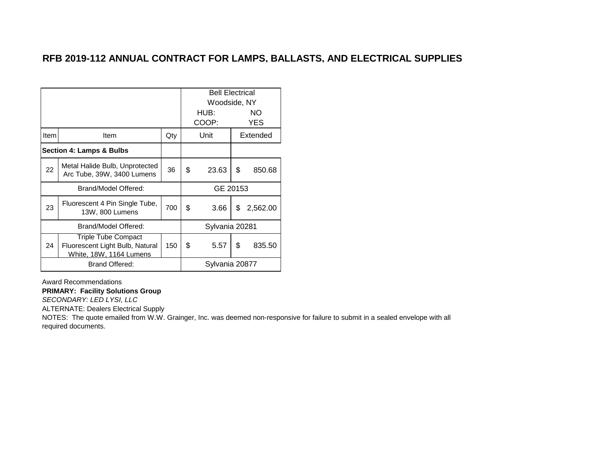|                                     |                                                                                   |     | <b>Bell Electrical</b><br>Woodside, NY |                |                   |          |
|-------------------------------------|-----------------------------------------------------------------------------------|-----|----------------------------------------|----------------|-------------------|----------|
|                                     |                                                                                   |     | HUB:<br>COOP:                          |                | NO.<br><b>YES</b> |          |
| Item                                | Item                                                                              | Qty |                                        | Unit           |                   | Extended |
| <b>Section 4: Lamps &amp; Bulbs</b> |                                                                                   |     |                                        |                |                   |          |
| 22                                  | Metal Halide Bulb, Unprotected<br>Arc Tube, 39W, 3400 Lumens                      | 36  | \$                                     | 23.63          | \$                | 850.68   |
|                                     | Brand/Model Offered:                                                              |     | GE 20153                               |                |                   |          |
| 23                                  | Fluorescent 4 Pin Single Tube,<br>13W, 800 Lumens                                 | 700 | \$                                     | 3.66           | \$                | 2,562.00 |
|                                     | Brand/Model Offered:                                                              |     |                                        | Sylvania 20281 |                   |          |
| 24                                  | Triple Tube Compact<br>Fluorescent Light Bulb, Natural<br>White, 18W, 1164 Lumens | 150 | \$                                     | 5.57           | \$                | 835.50   |
|                                     | <b>Brand Offered:</b>                                                             |     | Sylvania 20877                         |                |                   |          |

Award Recommendations

#### **PRIMARY: Facility Solutions Group**

*SECONDARY: LED LYSI, LLC*

ALTERNATE: Dealers Electrical Supply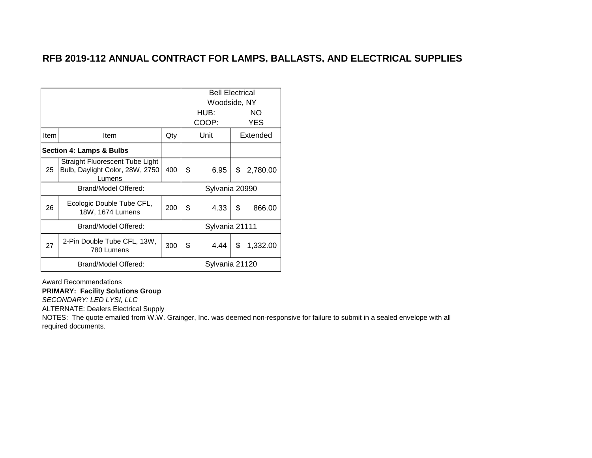|                                     |                                                                              |     | <b>Bell Electrical</b><br>Woodside, NY |                |    |                   |
|-------------------------------------|------------------------------------------------------------------------------|-----|----------------------------------------|----------------|----|-------------------|
|                                     |                                                                              |     |                                        | HUB:<br>COOP:  |    | NO.<br><b>YES</b> |
| Item                                | Item                                                                         | Qty |                                        | Unit           |    | Extended          |
| <b>Section 4: Lamps &amp; Bulbs</b> |                                                                              |     |                                        |                |    |                   |
| 25                                  | Straight Fluorescent Tube Light<br>Bulb, Daylight Color, 28W, 2750<br>Lumens | 400 | \$                                     | 6.95           | \$ | 2,780.00          |
|                                     | Brand/Model Offered:                                                         |     | Sylvania 20990                         |                |    |                   |
| 26                                  | Ecologic Double Tube CFL,<br>18W, 1674 Lumens                                | 200 | \$                                     | 4.33           | \$ | 866.00            |
|                                     | Brand/Model Offered:                                                         |     |                                        | Sylvania 21111 |    |                   |
| 27                                  | 2-Pin Double Tube CFL, 13W,<br>780 Lumens                                    | 300 | \$                                     | 4.44           | \$ | 1,332.00          |
|                                     | Brand/Model Offered:                                                         |     | Sylvania 21120                         |                |    |                   |

Award Recommendations

#### **PRIMARY: Facility Solutions Group**

*SECONDARY: LED LYSI, LLC*

ALTERNATE: Dealers Electrical Supply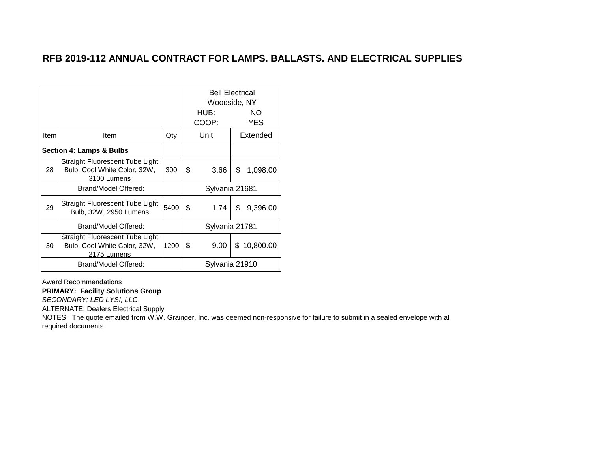|                                     |                                                                                       |      | <b>Bell Electrical</b><br>Woodside, NY |                |    |            |
|-------------------------------------|---------------------------------------------------------------------------------------|------|----------------------------------------|----------------|----|------------|
|                                     |                                                                                       |      |                                        | HUB:<br>COOP:  |    | NO.<br>YES |
| Item                                | Item                                                                                  | Qty  |                                        | Unit           |    | Extended   |
| <b>Section 4: Lamps &amp; Bulbs</b> |                                                                                       |      |                                        |                |    |            |
| 28                                  | <b>Straight Fluorescent Tube Light</b><br>Bulb, Cool White Color, 32W,<br>3100 Lumens | 300  | \$                                     | 3.66           | \$ | 1,098.00   |
|                                     | Brand/Model Offered:                                                                  |      | Sylvania 21681                         |                |    |            |
| 29                                  | Straight Fluorescent Tube Light<br>Bulb, 32W, 2950 Lumens                             | 5400 | \$                                     | 1.74           | \$ | 9,396.00   |
|                                     | Brand/Model Offered:                                                                  |      |                                        | Sylvania 21781 |    |            |
| 30                                  | Straight Fluorescent Tube Light<br>Bulb, Cool White Color, 32W,<br>2175 Lumens        | 1200 | \$                                     | 9.00           | \$ | 10,800.00  |
|                                     | Brand/Model Offered:                                                                  |      | Sylvania 21910                         |                |    |            |

Award Recommendations

#### **PRIMARY: Facility Solutions Group**

*SECONDARY: LED LYSI, LLC*

ALTERNATE: Dealers Electrical Supply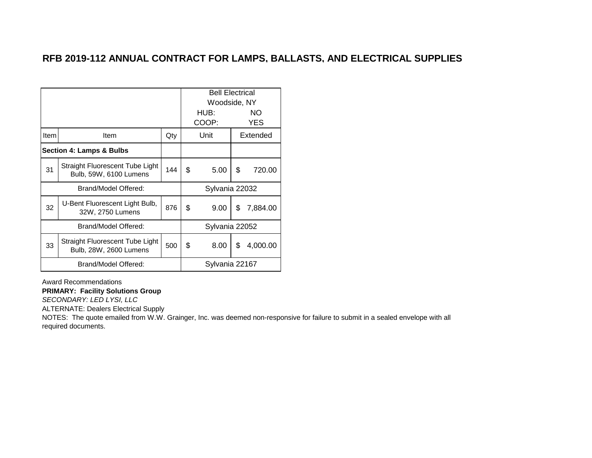|                                     |                                                           |     | <b>Bell Electrical</b><br>Woodside, NY |      |            |          |
|-------------------------------------|-----------------------------------------------------------|-----|----------------------------------------|------|------------|----------|
|                                     |                                                           |     | HUB:<br>COOP:                          |      | NO.<br>YES |          |
| Item                                | Item                                                      | Qty | Unit                                   |      | Extended   |          |
| <b>Section 4: Lamps &amp; Bulbs</b> |                                                           |     |                                        |      |            |          |
| 31                                  | Straight Fluorescent Tube Light<br>Bulb, 59W, 6100 Lumens | 144 | \$                                     | 5.00 | \$         | 720.00   |
| Brand/Model Offered:                |                                                           |     | Sylvania 22032                         |      |            |          |
| 32                                  | U-Bent Fluorescent Light Bulb,<br>32W, 2750 Lumens        | 876 | \$                                     | 9.00 | \$         | 7,884.00 |
| Brand/Model Offered:                |                                                           |     | Sylvania 22052                         |      |            |          |
| 33                                  | Straight Fluorescent Tube Light<br>Bulb, 28W, 2600 Lumens | 500 | \$                                     | 8.00 | \$         | 4,000.00 |
| Brand/Model Offered:                |                                                           |     | Sylvania 22167                         |      |            |          |

Award Recommendations

#### **PRIMARY: Facility Solutions Group**

*SECONDARY: LED LYSI, LLC*

ALTERNATE: Dealers Electrical Supply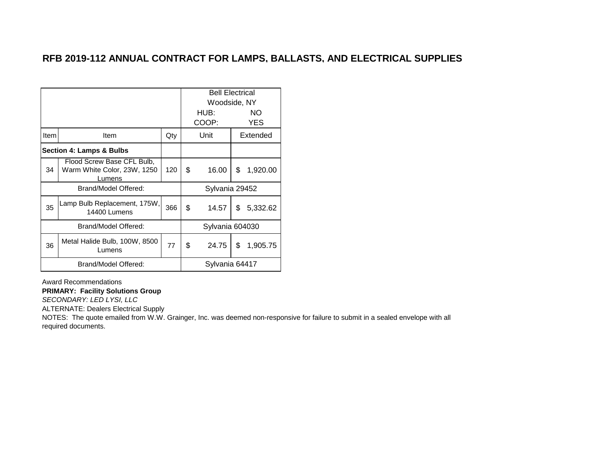|                      |                                                                     |     | <b>Bell Electrical</b><br>Woodside, NY |                |            |          |  |
|----------------------|---------------------------------------------------------------------|-----|----------------------------------------|----------------|------------|----------|--|
|                      |                                                                     |     | HUB:<br>COOP:                          |                | NO.<br>YES |          |  |
| Item                 | Item                                                                | Qty | Unit                                   |                | Extended   |          |  |
|                      | <b>Section 4: Lamps &amp; Bulbs</b>                                 |     |                                        |                |            |          |  |
| 34                   | Flood Screw Base CFL Bulb,<br>Warm White Color, 23W, 1250<br>Lumens | 120 | \$                                     | 16.00          | \$         | 1,920.00 |  |
|                      | Brand/Model Offered:                                                |     |                                        | Sylvania 29452 |            |          |  |
| 35                   | Lamp Bulb Replacement, 175W,<br>14400 Lumens                        | 366 | \$                                     | 14.57          | \$         | 5,332.62 |  |
| Brand/Model Offered: |                                                                     |     | Sylvania 604030                        |                |            |          |  |
| 36                   | Metal Halide Bulb, 100W, 8500<br>Lumens                             | 77  | \$                                     | 24.75          | \$         | 1,905.75 |  |
| Brand/Model Offered: |                                                                     |     | Sylvania 64417                         |                |            |          |  |

Award Recommendations

#### **PRIMARY: Facility Solutions Group**

*SECONDARY: LED LYSI, LLC*

ALTERNATE: Dealers Electrical Supply